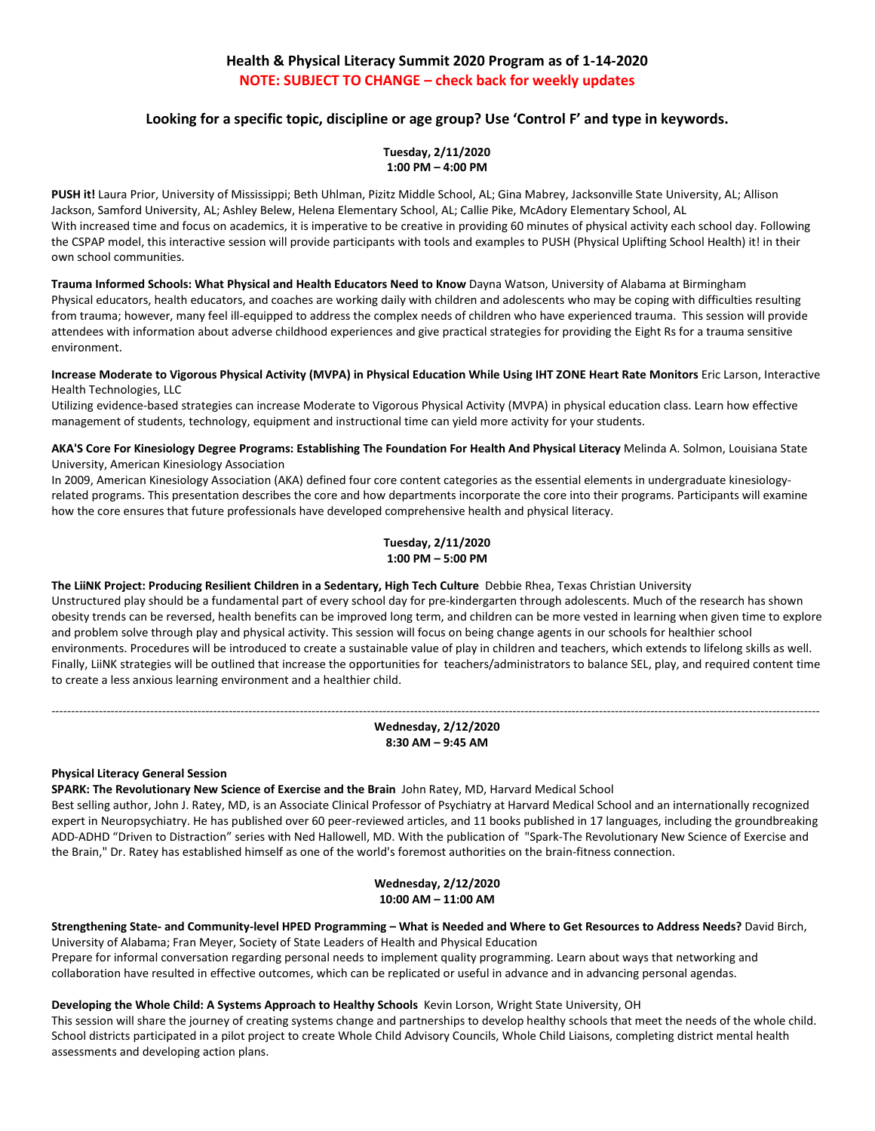# **Health & Physical Literacy Summit 2020 Program as of 1-14-2020 NOTE: SUBJECT TO CHANGE – check back for weekly updates**

# **Looking for a specific topic, discipline or age group? Use 'Control F' and type in keywords.**

**Tuesday, 2/11/2020 1:00 PM – 4:00 PM**

**PUSH it!** Laura Prior, University of Mississippi; Beth Uhlman, Pizitz Middle School, AL; Gina Mabrey, Jacksonville State University, AL; Allison Jackson, Samford University, AL; Ashley Belew, Helena Elementary School, AL; Callie Pike, McAdory Elementary School, AL With increased time and focus on academics, it is imperative to be creative in providing 60 minutes of physical activity each school day. Following the CSPAP model, this interactive session will provide participants with tools and examples to PUSH (Physical Uplifting School Health) it! in their own school communities.

**Trauma Informed Schools: What Physical and Health Educators Need to Know** Dayna Watson, University of Alabama at Birmingham Physical educators, health educators, and coaches are working daily with children and adolescents who may be coping with difficulties resulting from trauma; however, many feel ill-equipped to address the complex needs of children who have experienced trauma. This session will provide attendees with information about adverse childhood experiences and give practical strategies for providing the Eight Rs for a trauma sensitive environment.

**Increase Moderate to Vigorous Physical Activity (MVPA) in Physical Education While Using IHT ZONE Heart Rate Monitors** Eric Larson, Interactive Health Technologies, LLC

Utilizing evidence-based strategies can increase Moderate to Vigorous Physical Activity (MVPA) in physical education class. Learn how effective management of students, technology, equipment and instructional time can yield more activity for your students.

**AKA'S Core For Kinesiology Degree Programs: Establishing The Foundation For Health And Physical Literacy** Melinda A. Solmon, Louisiana State University, American Kinesiology Association

In 2009, American Kinesiology Association (AKA) defined four core content categories as the essential elements in undergraduate kinesiologyrelated programs. This presentation describes the core and how departments incorporate the core into their programs. Participants will examine how the core ensures that future professionals have developed comprehensive health and physical literacy.

# **Tuesday, 2/11/2020 1:00 PM – 5:00 PM**

**The LiiNK Project: Producing Resilient Children in a Sedentary, High Tech Culture** Debbie Rhea, Texas Christian University Unstructured play should be a fundamental part of every school day for pre-kindergarten through adolescents. Much of the research has shown obesity trends can be reversed, health benefits can be improved long term, and children can be more vested in learning when given time to explore and problem solve through play and physical activity. This session will focus on being change agents in our schools for healthier school environments. Procedures will be introduced to create a sustainable value of play in children and teachers, which extends to lifelong skills as well. Finally, LiiNK strategies will be outlined that increase the opportunities for teachers/administrators to balance SEL, play, and required content time to create a less anxious learning environment and a healthier child.

## --------------------------------------------------------------------------------------------------------------------------------------------------------------------------------------------------- **Wednesday, 2/12/2020 8:30 AM – 9:45 AM**

#### **Physical Literacy General Session**

**SPARK: The Revolutionary New Science of Exercise and the Brain** John Ratey, MD, Harvard Medical School

Best selling author, John J. Ratey, MD, is an Associate Clinical Professor of Psychiatry at Harvard Medical School and an internationally recognized expert in Neuropsychiatry. He has published over 60 peer-reviewed articles, and 11 books published in 17 languages, including the groundbreaking ADD-ADHD "Driven to Distraction" series with Ned Hallowell, MD. With the publication of "Spark-The Revolutionary New Science of Exercise and the Brain," Dr. Ratey has established himself as one of the world's foremost authorities on the brain-fitness connection.

> **Wednesday, 2/12/2020 10:00 AM – 11:00 AM**

**Strengthening State- and Community-level HPED Programming – What is Needed and Where to Get Resources to Address Needs?** David Birch, University of Alabama; Fran Meyer, Society of State Leaders of Health and Physical Education

Prepare for informal conversation regarding personal needs to implement quality programming. Learn about ways that networking and collaboration have resulted in effective outcomes, which can be replicated or useful in advance and in advancing personal agendas.

#### **Developing the Whole Child: A Systems Approach to Healthy Schools** Kevin Lorson, Wright State University, OH

This session will share the journey of creating systems change and partnerships to develop healthy schools that meet the needs of the whole child. School districts participated in a pilot project to create Whole Child Advisory Councils, Whole Child Liaisons, completing district mental health assessments and developing action plans.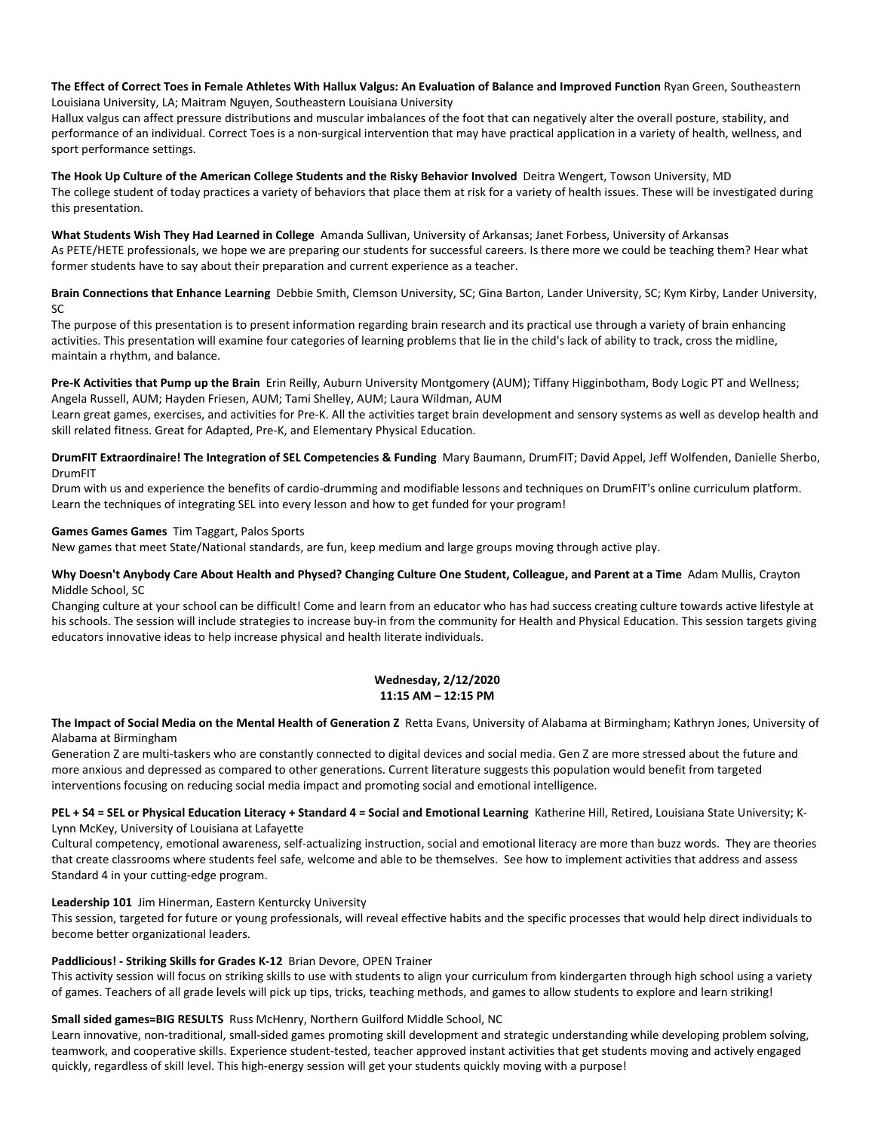#### **The Effect of Correct Toes in Female Athletes With Hallux Valgus: An Evaluation of Balance and Improved Function** Ryan Green, Southeastern Louisiana University, LA; Maitram Nguyen, Southeastern Louisiana University

Hallux valgus can affect pressure distributions and muscular imbalances of the foot that can negatively alter the overall posture, stability, and performance of an individual. Correct Toes is a non-surgical intervention that may have practical application in a variety of health, wellness, and sport performance settings.

**The Hook Up Culture of the American College Students and the Risky Behavior Involved** Deitra Wengert, Towson University, MD The college student of today practices a variety of behaviors that place them at risk for a variety of health issues. These will be investigated during this presentation.

**What Students Wish They Had Learned in College** Amanda Sullivan, University of Arkansas; Janet Forbess, University of Arkansas As PETE/HETE professionals, we hope we are preparing our students for successful careers. Is there more we could be teaching them? Hear what former students have to say about their preparation and current experience as a teacher.

**Brain Connections that Enhance Learning** Debbie Smith, Clemson University, SC; Gina Barton, Lander University, SC; Kym Kirby, Lander University, SC

The purpose of this presentation is to present information regarding brain research and its practical use through a variety of brain enhancing activities. This presentation will examine four categories of learning problems that lie in the child's lack of ability to track, cross the midline, maintain a rhythm, and balance.

**Pre-K Activities that Pump up the Brain** Erin Reilly, Auburn University Montgomery (AUM); Tiffany Higginbotham, Body Logic PT and Wellness; Angela Russell, AUM; Hayden Friesen, AUM; Tami Shelley, AUM; Laura Wildman, AUM

Learn great games, exercises, and activities for Pre-K. All the activities target brain development and sensory systems as well as develop health and skill related fitness. Great for Adapted, Pre-K, and Elementary Physical Education.

**DrumFIT Extraordinaire! The Integration of SEL Competencies & Funding** Mary Baumann, DrumFIT; David Appel, Jeff Wolfenden, Danielle Sherbo, DrumFIT

Drum with us and experience the benefits of cardio-drumming and modifiable lessons and techniques on DrumFIT's online curriculum platform. Learn the techniques of integrating SEL into every lesson and how to get funded for your program!

## **Games Games Games** Tim Taggart, Palos Sports

New games that meet State/National standards, are fun, keep medium and large groups moving through active play.

## **Why Doesn't Anybody Care About Health and Physed? Changing Culture One Student, Colleague, and Parent at a Time** Adam Mullis, Crayton Middle School, SC

Changing culture at your school can be difficult! Come and learn from an educator who has had success creating culture towards active lifestyle at his schools. The session will include strategies to increase buy-in from the community for Health and Physical Education. This session targets giving educators innovative ideas to help increase physical and health literate individuals.

# **Wednesday, 2/12/2020 11:15 AM – 12:15 PM**

**The Impact of Social Media on the Mental Health of Generation Z** Retta Evans, University of Alabama at Birmingham; Kathryn Jones, University of Alabama at Birmingham

Generation Z are multi-taskers who are constantly connected to digital devices and social media. Gen Z are more stressed about the future and more anxious and depressed as compared to other generations. Current literature suggests this population would benefit from targeted interventions focusing on reducing social media impact and promoting social and emotional intelligence.

**PEL + S4 = SEL or Physical Education Literacy + Standard 4 = Social and Emotional Learning** Katherine Hill, Retired, Louisiana State University; K-Lynn McKey, University of Louisiana at Lafayette

Cultural competency, emotional awareness, self-actualizing instruction, social and emotional literacy are more than buzz words. They are theories that create classrooms where students feel safe, welcome and able to be themselves. See how to implement activities that address and assess Standard 4 in your cutting-edge program.

#### **Leadership 101** Jim Hinerman, Eastern Kenturcky University

This session, targeted for future or young professionals, will reveal effective habits and the specific processes that would help direct individuals to become better organizational leaders.

#### **Paddlicious! - Striking Skills for Grades K-12** Brian Devore, OPEN Trainer

This activity session will focus on striking skills to use with students to align your curriculum from kindergarten through high school using a variety of games. Teachers of all grade levels will pick up tips, tricks, teaching methods, and games to allow students to explore and learn striking!

# **Small sided games=BIG RESULTS** Russ McHenry, Northern Guilford Middle School, NC

Learn innovative, non-traditional, small-sided games promoting skill development and strategic understanding while developing problem solving, teamwork, and cooperative skills. Experience student-tested, teacher approved instant activities that get students moving and actively engaged quickly, regardless of skill level. This high-energy session will get your students quickly moving with a purpose!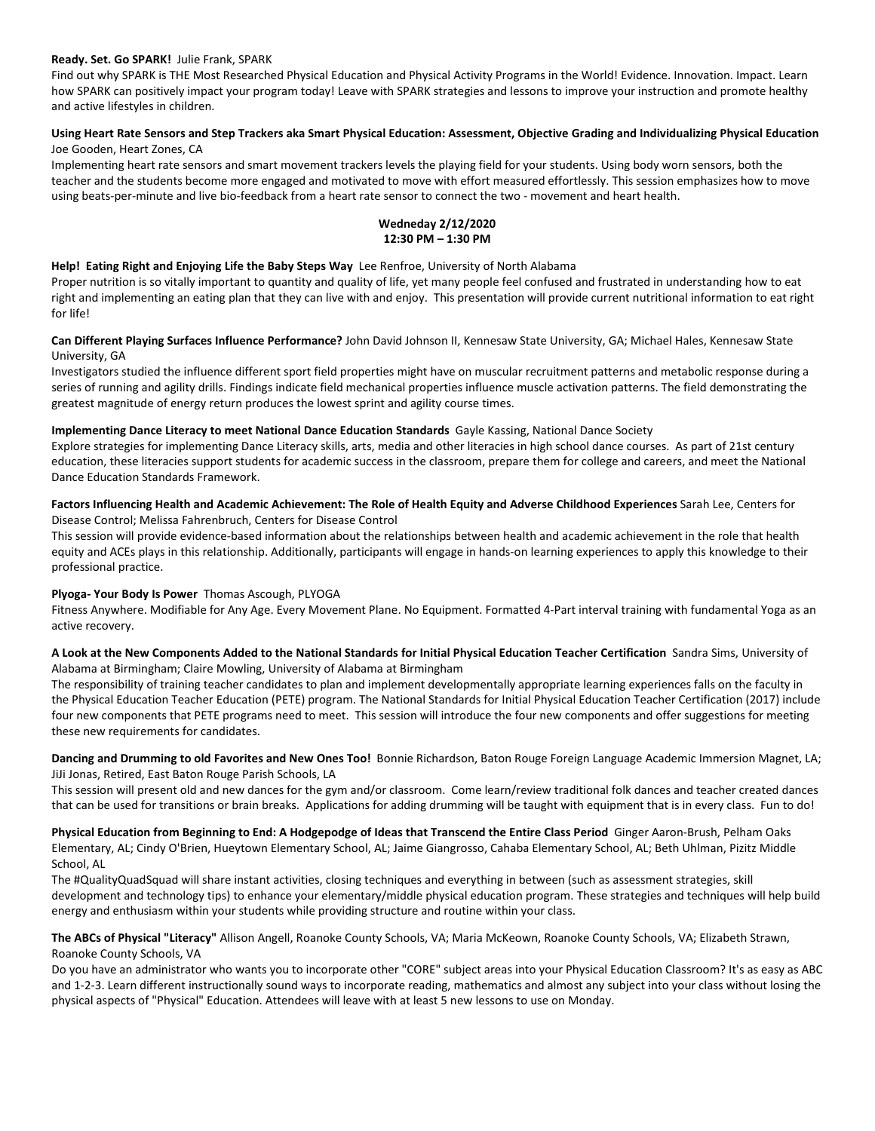#### **Ready. Set. Go SPARK!** Julie Frank, SPARK

Find out why SPARK is THE Most Researched Physical Education and Physical Activity Programs in the World! Evidence. Innovation. Impact. Learn how SPARK can positively impact your program today! Leave with SPARK strategies and lessons to improve your instruction and promote healthy and active lifestyles in children.

## **Using Heart Rate Sensors and Step Trackers aka Smart Physical Education: Assessment, Objective Grading and Individualizing Physical Education** Joe Gooden, Heart Zones, CA

Implementing heart rate sensors and smart movement trackers levels the playing field for your students. Using body worn sensors, both the teacher and the students become more engaged and motivated to move with effort measured effortlessly. This session emphasizes how to move using beats-per-minute and live bio-feedback from a heart rate sensor to connect the two - movement and heart health.

# **Wedneday 2/12/2020 12:30 PM – 1:30 PM**

## **Help! Eating Right and Enjoying Life the Baby Steps Way** Lee Renfroe, University of North Alabama

Proper nutrition is so vitally important to quantity and quality of life, yet many people feel confused and frustrated in understanding how to eat right and implementing an eating plan that they can live with and enjoy. This presentation will provide current nutritional information to eat right for life!

## **Can Different Playing Surfaces Influence Performance?** John David Johnson II, Kennesaw State University, GA; Michael Hales, Kennesaw State University, GA

Investigators studied the influence different sport field properties might have on muscular recruitment patterns and metabolic response during a series of running and agility drills. Findings indicate field mechanical properties influence muscle activation patterns. The field demonstrating the greatest magnitude of energy return produces the lowest sprint and agility course times.

# **Implementing Dance Literacy to meet National Dance Education Standards** Gayle Kassing, National Dance Society

Explore strategies for implementing Dance Literacy skills, arts, media and other literacies in high school dance courses. As part of 21st century education, these literacies support students for academic success in the classroom, prepare them for college and careers, and meet the National Dance Education Standards Framework.

## **Factors Influencing Health and Academic Achievement: The Role of Health Equity and Adverse Childhood Experiences** Sarah Lee, Centers for Disease Control; Melissa Fahrenbruch, Centers for Disease Control

This session will provide evidence-based information about the relationships between health and academic achievement in the role that health equity and ACEs plays in this relationship. Additionally, participants will engage in hands-on learning experiences to apply this knowledge to their professional practice.

# **Plyoga- Your Body Is Power** Thomas Ascough, PLYOGA

Fitness Anywhere. Modifiable for Any Age. Every Movement Plane. No Equipment. Formatted 4-Part interval training with fundamental Yoga as an active recovery.

## **A Look at the New Components Added to the National Standards for Initial Physical Education Teacher Certification** Sandra Sims, University of Alabama at Birmingham; Claire Mowling, University of Alabama at Birmingham

The responsibility of training teacher candidates to plan and implement developmentally appropriate learning experiences falls on the faculty in the Physical Education Teacher Education (PETE) program. The National Standards for Initial Physical Education Teacher Certification (2017) include four new components that PETE programs need to meet. This session will introduce the four new components and offer suggestions for meeting these new requirements for candidates.

**Dancing and Drumming to old Favorites and New Ones Too!** Bonnie Richardson, Baton Rouge Foreign Language Academic Immersion Magnet, LA; JiJi Jonas, Retired, East Baton Rouge Parish Schools, LA

This session will present old and new dances for the gym and/or classroom. Come learn/review traditional folk dances and teacher created dances that can be used for transitions or brain breaks. Applications for adding drumming will be taught with equipment that is in every class. Fun to do!

**Physical Education from Beginning to End: A Hodgepodge of Ideas that Transcend the Entire Class Period** Ginger Aaron-Brush, Pelham Oaks Elementary, AL; Cindy O'Brien, Hueytown Elementary School, AL; Jaime Giangrosso, Cahaba Elementary School, AL; Beth Uhlman, Pizitz Middle School, AL

The #QualityQuadSquad will share instant activities, closing techniques and everything in between (such as assessment strategies, skill development and technology tips) to enhance your elementary/middle physical education program. These strategies and techniques will help build energy and enthusiasm within your students while providing structure and routine within your class.

**The ABCs of Physical "Literacy"** Allison Angell, Roanoke County Schools, VA; Maria McKeown, Roanoke County Schools, VA; Elizabeth Strawn, Roanoke County Schools, VA

Do you have an administrator who wants you to incorporate other "CORE" subject areas into your Physical Education Classroom? It's as easy as ABC and 1-2-3. Learn different instructionally sound ways to incorporate reading, mathematics and almost any subject into your class without losing the physical aspects of "Physical" Education. Attendees will leave with at least 5 new lessons to use on Monday.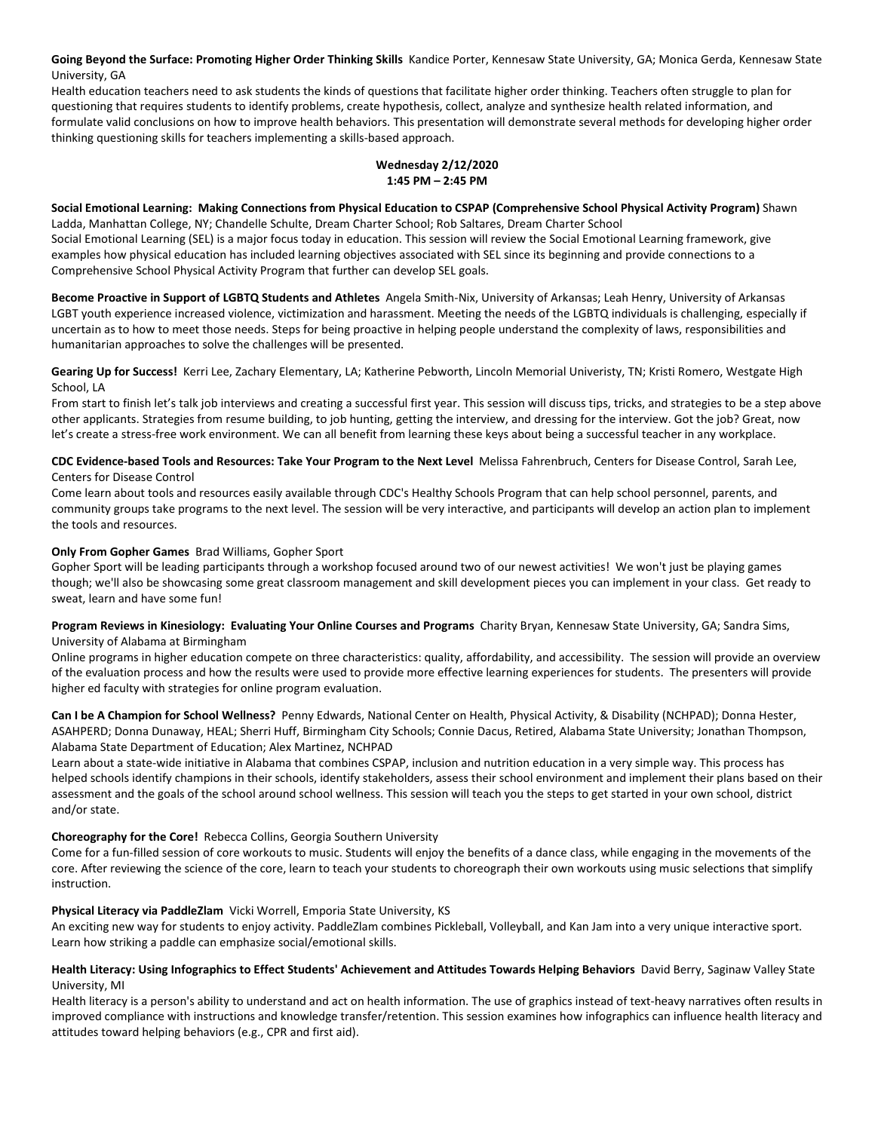**Going Beyond the Surface: Promoting Higher Order Thinking Skills** Kandice Porter, Kennesaw State University, GA; Monica Gerda, Kennesaw State University, GA

Health education teachers need to ask students the kinds of questions that facilitate higher order thinking. Teachers often struggle to plan for questioning that requires students to identify problems, create hypothesis, collect, analyze and synthesize health related information, and formulate valid conclusions on how to improve health behaviors. This presentation will demonstrate several methods for developing higher order thinking questioning skills for teachers implementing a skills-based approach.

# **Wednesday 2/12/2020 1:45 PM – 2:45 PM**

**Social Emotional Learning: Making Connections from Physical Education to CSPAP (Comprehensive School Physical Activity Program)** Shawn Ladda, Manhattan College, NY; Chandelle Schulte, Dream Charter School; Rob Saltares, Dream Charter School

Social Emotional Learning (SEL) is a major focus today in education. This session will review the Social Emotional Learning framework, give examples how physical education has included learning objectives associated with SEL since its beginning and provide connections to a Comprehensive School Physical Activity Program that further can develop SEL goals.

**Become Proactive in Support of LGBTQ Students and Athletes** Angela Smith-Nix, University of Arkansas; Leah Henry, University of Arkansas LGBT youth experience increased violence, victimization and harassment. Meeting the needs of the LGBTQ individuals is challenging, especially if uncertain as to how to meet those needs. Steps for being proactive in helping people understand the complexity of laws, responsibilities and humanitarian approaches to solve the challenges will be presented.

**Gearing Up for Success!** Kerri Lee, Zachary Elementary, LA; Katherine Pebworth, Lincoln Memorial Univeristy, TN; Kristi Romero, Westgate High School, LA

From start to finish let's talk job interviews and creating a successful first year. This session will discuss tips, tricks, and strategies to be a step above other applicants. Strategies from resume building, to job hunting, getting the interview, and dressing for the interview. Got the job? Great, now let's create a stress-free work environment. We can all benefit from learning these keys about being a successful teacher in any workplace.

**CDC Evidence-based Tools and Resources: Take Your Program to the Next Level** Melissa Fahrenbruch, Centers for Disease Control, Sarah Lee, Centers for Disease Control

Come learn about tools and resources easily available through CDC's Healthy Schools Program that can help school personnel, parents, and community groups take programs to the next level. The session will be very interactive, and participants will develop an action plan to implement the tools and resources.

# **Only From Gopher Games** Brad Williams, Gopher Sport

Gopher Sport will be leading participants through a workshop focused around two of our newest activities! We won't just be playing games though; we'll also be showcasing some great classroom management and skill development pieces you can implement in your class. Get ready to sweat, learn and have some fun!

**Program Reviews in Kinesiology: Evaluating Your Online Courses and Programs** Charity Bryan, Kennesaw State University, GA; Sandra Sims, University of Alabama at Birmingham

Online programs in higher education compete on three characteristics: quality, affordability, and accessibility. The session will provide an overview of the evaluation process and how the results were used to provide more effective learning experiences for students. The presenters will provide higher ed faculty with strategies for online program evaluation.

**Can I be A Champion for School Wellness?** Penny Edwards, National Center on Health, Physical Activity, & Disability (NCHPAD); Donna Hester, ASAHPERD; Donna Dunaway, HEAL; Sherri Huff, Birmingham City Schools; Connie Dacus, Retired, Alabama State University; Jonathan Thompson, Alabama State Department of Education; Alex Martinez, NCHPAD

Learn about a state-wide initiative in Alabama that combines CSPAP, inclusion and nutrition education in a very simple way. This process has helped schools identify champions in their schools, identify stakeholders, assess their school environment and implement their plans based on their assessment and the goals of the school around school wellness. This session will teach you the steps to get started in your own school, district and/or state.

# **Choreography for the Core!** Rebecca Collins, Georgia Southern University

Come for a fun-filled session of core workouts to music. Students will enjoy the benefits of a dance class, while engaging in the movements of the core. After reviewing the science of the core, learn to teach your students to choreograph their own workouts using music selections that simplify instruction.

# **Physical Literacy via PaddleZlam** Vicki Worrell, Emporia State University, KS

An exciting new way for students to enjoy activity. PaddleZlam combines Pickleball, Volleyball, and Kan Jam into a very unique interactive sport. Learn how striking a paddle can emphasize social/emotional skills.

## **Health Literacy: Using Infographics to Effect Students' Achievement and Attitudes Towards Helping Behaviors** David Berry, Saginaw Valley State University, MI

Health literacy is a person's ability to understand and act on health information. The use of graphics instead of text-heavy narratives often results in improved compliance with instructions and knowledge transfer/retention. This session examines how infographics can influence health literacy and attitudes toward helping behaviors (e.g., CPR and first aid).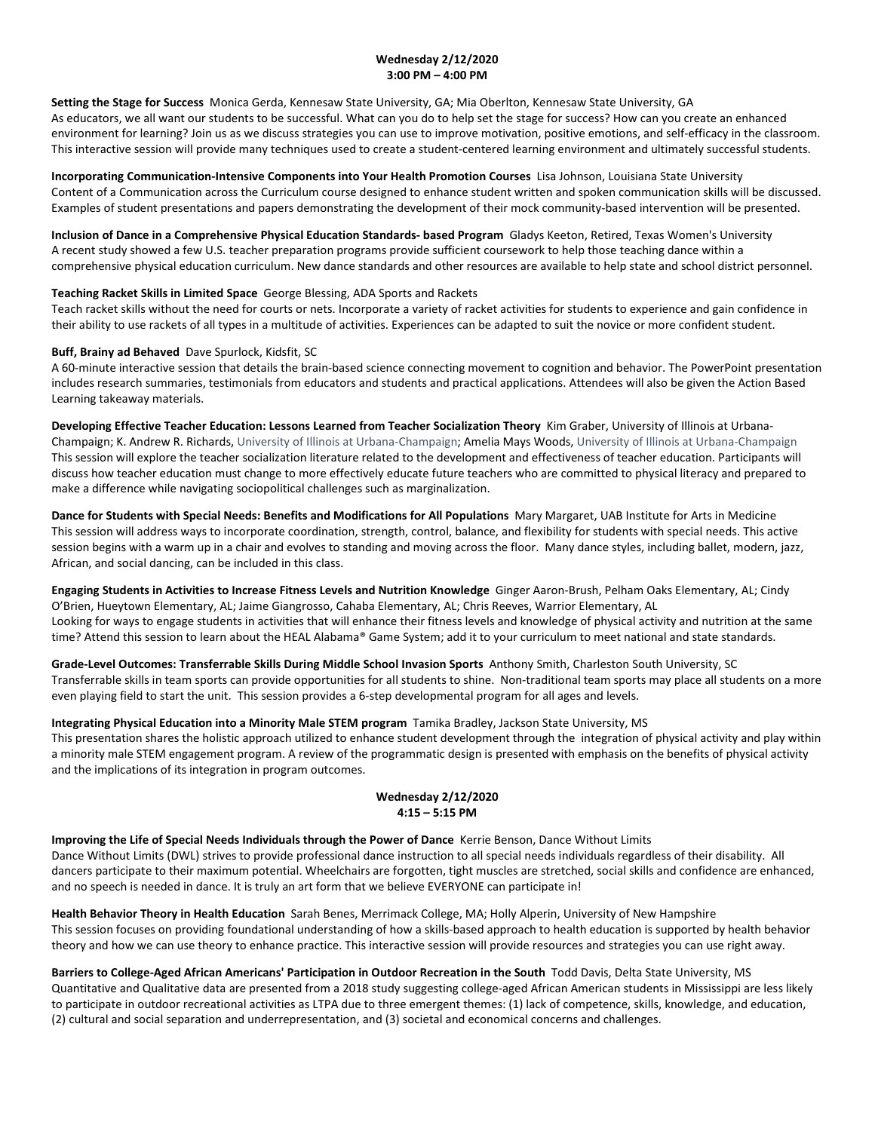## **Wednesday 2/12/2020 3:00 PM – 4:00 PM**

**Setting the Stage for Success** Monica Gerda, Kennesaw State University, GA; Mia Oberlton, Kennesaw State University, GA As educators, we all want our students to be successful. What can you do to help set the stage for success? How can you create an enhanced environment for learning? Join us as we discuss strategies you can use to improve motivation, positive emotions, and self-efficacy in the classroom. This interactive session will provide many techniques used to create a student-centered learning environment and ultimately successful students.

**Incorporating Communication-Intensive Components into Your Health Promotion Courses** Lisa Johnson, Louisiana State University Content of a Communication across the Curriculum course designed to enhance student written and spoken communication skills will be discussed. Examples of student presentations and papers demonstrating the development of their mock community-based intervention will be presented.

**Inclusion of Dance in a Comprehensive Physical Education Standards- based Program** Gladys Keeton, Retired, Texas Women's University A recent study showed a few U.S. teacher preparation programs provide sufficient coursework to help those teaching dance within a comprehensive physical education curriculum. New dance standards and other resources are available to help state and school district personnel.

## **Teaching Racket Skills in Limited Space** George Blessing, ADA Sports and Rackets

Teach racket skills without the need for courts or nets. Incorporate a variety of racket activities for students to experience and gain confidence in their ability to use rackets of all types in a multitude of activities. Experiences can be adapted to suit the novice or more confident student.

## **Buff, Brainy ad Behaved** Dave Spurlock, Kidsfit, SC

A 60-minute interactive session that details the brain-based science connecting movement to cognition and behavior. The PowerPoint presentation includes research summaries, testimonials from educators and students and practical applications. Attendees will also be given the Action Based Learning takeaway materials.

**Developing Effective Teacher Education: Lessons Learned from Teacher Socialization Theory** Kim Graber, University of Illinois at Urbana-Champaign; K. Andrew R. Richards, University of Illinois at Urbana-Champaign; Amelia Mays Woods, University of Illinois at Urbana-Champaign This session will explore the teacher socialization literature related to the development and effectiveness of teacher education. Participants will discuss how teacher education must change to more effectively educate future teachers who are committed to physical literacy and prepared to make a difference while navigating sociopolitical challenges such as marginalization.

**Dance for Students with Special Needs: Benefits and Modifications for All Populations** Mary Margaret, UAB Institute for Arts in Medicine This session will address ways to incorporate coordination, strength, control, balance, and flexibility for students with special needs. This active session begins with a warm up in a chair and evolves to standing and moving across the floor. Many dance styles, including ballet, modern, jazz, African, and social dancing, can be included in this class.

**Engaging Students in Activities to Increase Fitness Levels and Nutrition Knowledge** Ginger Aaron-Brush, Pelham Oaks Elementary, AL; Cindy O'Brien, Hueytown Elementary, AL; Jaime Giangrosso, Cahaba Elementary, AL; Chris Reeves, Warrior Elementary, AL Looking for ways to engage students in activities that will enhance their fitness levels and knowledge of physical activity and nutrition at the same time? Attend this session to learn about the HEAL Alabama® Game System; add it to your curriculum to meet national and state standards.

**Grade-Level Outcomes: Transferrable Skills During Middle School Invasion Sports** Anthony Smith, Charleston South University, SC Transferrable skills in team sports can provide opportunities for all students to shine. Non-traditional team sports may place all students on a more even playing field to start the unit. This session provides a 6-step developmental program for all ages and levels.

#### **Integrating Physical Education into a Minority Male STEM program** Tamika Bradley, Jackson State University, MS

This presentation shares the holistic approach utilized to enhance student development through the integration of physical activity and play within a minority male STEM engagement program. A review of the programmatic design is presented with emphasis on the benefits of physical activity and the implications of its integration in program outcomes.

# **Wednesday 2/12/2020 4:15 – 5:15 PM**

#### **Improving the Life of Special Needs Individuals through the Power of Dance** Kerrie Benson, Dance Without Limits

Dance Without Limits (DWL) strives to provide professional dance instruction to all special needs individuals regardless of their disability. All dancers participate to their maximum potential. Wheelchairs are forgotten, tight muscles are stretched, social skills and confidence are enhanced, and no speech is needed in dance. It is truly an art form that we believe EVERYONE can participate in!

**Health Behavior Theory in Health Education** Sarah Benes, Merrimack College, MA; Holly Alperin, University of New Hampshire This session focuses on providing foundational understanding of how a skills-based approach to health education is supported by health behavior theory and how we can use theory to enhance practice. This interactive session will provide resources and strategies you can use right away.

**Barriers to College-Aged African Americans' Participation in Outdoor Recreation in the South** Todd Davis, Delta State University, MS Quantitative and Qualitative data are presented from a 2018 study suggesting college-aged African American students in Mississippi are less likely to participate in outdoor recreational activities as LTPA due to three emergent themes: (1) lack of competence, skills, knowledge, and education, (2) cultural and social separation and underrepresentation, and (3) societal and economical concerns and challenges.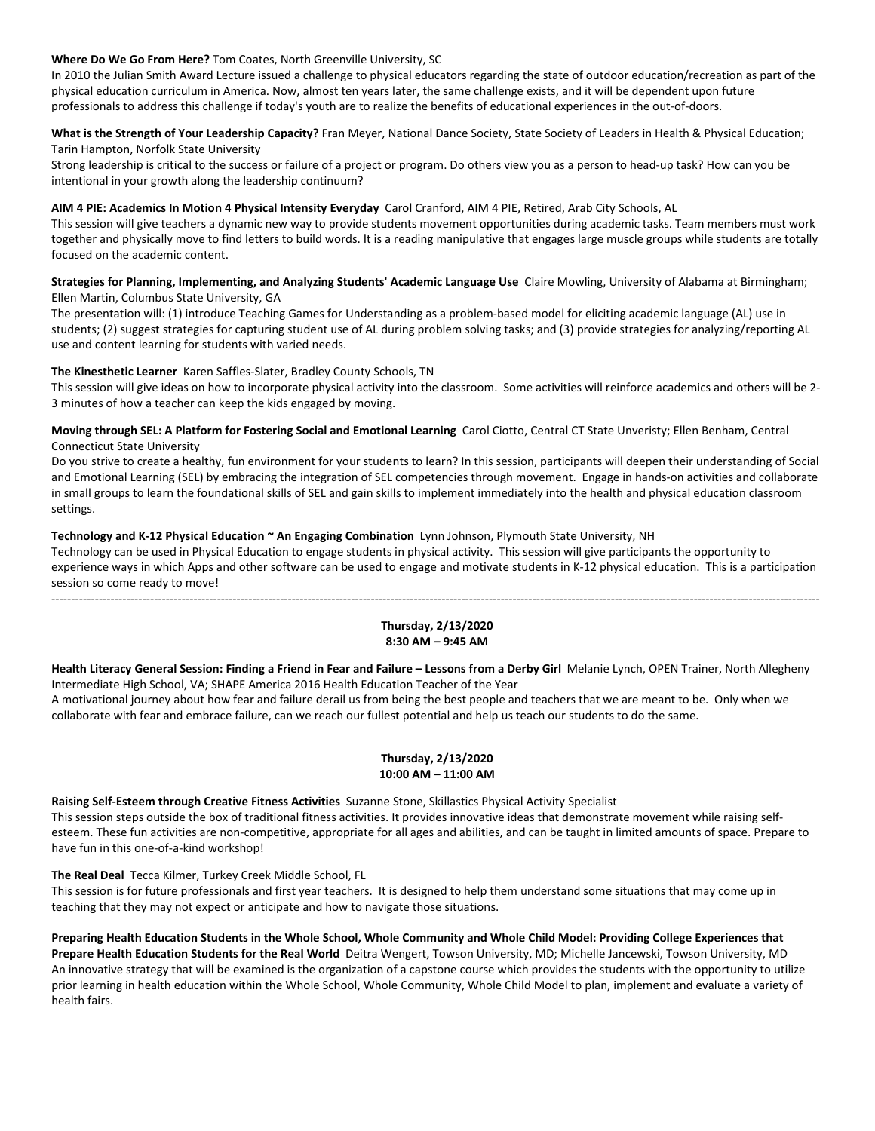## **Where Do We Go From Here?** Tom Coates, North Greenville University, SC

In 2010 the Julian Smith Award Lecture issued a challenge to physical educators regarding the state of outdoor education/recreation as part of the physical education curriculum in America. Now, almost ten years later, the same challenge exists, and it will be dependent upon future professionals to address this challenge if today's youth are to realize the benefits of educational experiences in the out-of-doors.

**What is the Strength of Your Leadership Capacity?** Fran Meyer, National Dance Society, State Society of Leaders in Health & Physical Education; Tarin Hampton, Norfolk State University

Strong leadership is critical to the success or failure of a project or program. Do others view you as a person to head-up task? How can you be intentional in your growth along the leadership continuum?

## **AIM 4 PIE: Academics In Motion 4 Physical Intensity Everyday** Carol Cranford, AIM 4 PIE, Retired, Arab City Schools, AL

This session will give teachers a dynamic new way to provide students movement opportunities during academic tasks. Team members must work together and physically move to find letters to build words. It is a reading manipulative that engages large muscle groups while students are totally focused on the academic content.

**Strategies for Planning, Implementing, and Analyzing Students' Academic Language Use** Claire Mowling, University of Alabama at Birmingham; Ellen Martin, Columbus State University, GA

The presentation will: (1) introduce Teaching Games for Understanding as a problem-based model for eliciting academic language (AL) use in students; (2) suggest strategies for capturing student use of AL during problem solving tasks; and (3) provide strategies for analyzing/reporting AL use and content learning for students with varied needs.

## **The Kinesthetic Learner** Karen Saffles-Slater, Bradley County Schools, TN

This session will give ideas on how to incorporate physical activity into the classroom. Some activities will reinforce academics and others will be 2- 3 minutes of how a teacher can keep the kids engaged by moving.

**Moving through SEL: A Platform for Fostering Social and Emotional Learning** Carol Ciotto, Central CT State Unveristy; Ellen Benham, Central Connecticut State University

Do you strive to create a healthy, fun environment for your students to learn? In this session, participants will deepen their understanding of Social and Emotional Learning (SEL) by embracing the integration of SEL competencies through movement. Engage in hands-on activities and collaborate in small groups to learn the foundational skills of SEL and gain skills to implement immediately into the health and physical education classroom settings.

## **Technology and K-12 Physical Education ~ An Engaging Combination** Lynn Johnson, Plymouth State University, NH

Technology can be used in Physical Education to engage students in physical activity. This session will give participants the opportunity to experience ways in which Apps and other software can be used to engage and motivate students in K-12 physical education. This is a participation session so come ready to move!

---------------------------------------------------------------------------------------------------------------------------------------------------------------------------------------------------

# **Thursday, 2/13/2020 8:30 AM – 9:45 AM**

**Health Literacy General Session: Finding a Friend in Fear and Failure – Lessons from a Derby Girl** Melanie Lynch, OPEN Trainer, North Allegheny Intermediate High School, VA; SHAPE America 2016 Health Education Teacher of the Year

A motivational journey about how fear and failure derail us from being the best people and teachers that we are meant to be. Only when we collaborate with fear and embrace failure, can we reach our fullest potential and help us teach our students to do the same.

# **Thursday, 2/13/2020 10:00 AM – 11:00 AM**

**Raising Self-Esteem through Creative Fitness Activities** Suzanne Stone, Skillastics Physical Activity Specialist This session steps outside the box of traditional fitness activities. It provides innovative ideas that demonstrate movement while raising selfesteem. These fun activities are non-competitive, appropriate for all ages and abilities, and can be taught in limited amounts of space. Prepare to have fun in this one-of-a-kind workshop!

**The Real Deal** Tecca Kilmer, Turkey Creek Middle School, FL

This session is for future professionals and first year teachers. It is designed to help them understand some situations that may come up in teaching that they may not expect or anticipate and how to navigate those situations.

**Preparing Health Education Students in the Whole School, Whole Community and Whole Child Model: Providing College Experiences that Prepare Health Education Students for the Real World** Deitra Wengert, Towson University, MD; Michelle Jancewski, Towson University, MD An innovative strategy that will be examined is the organization of a capstone course which provides the students with the opportunity to utilize prior learning in health education within the Whole School, Whole Community, Whole Child Model to plan, implement and evaluate a variety of health fairs.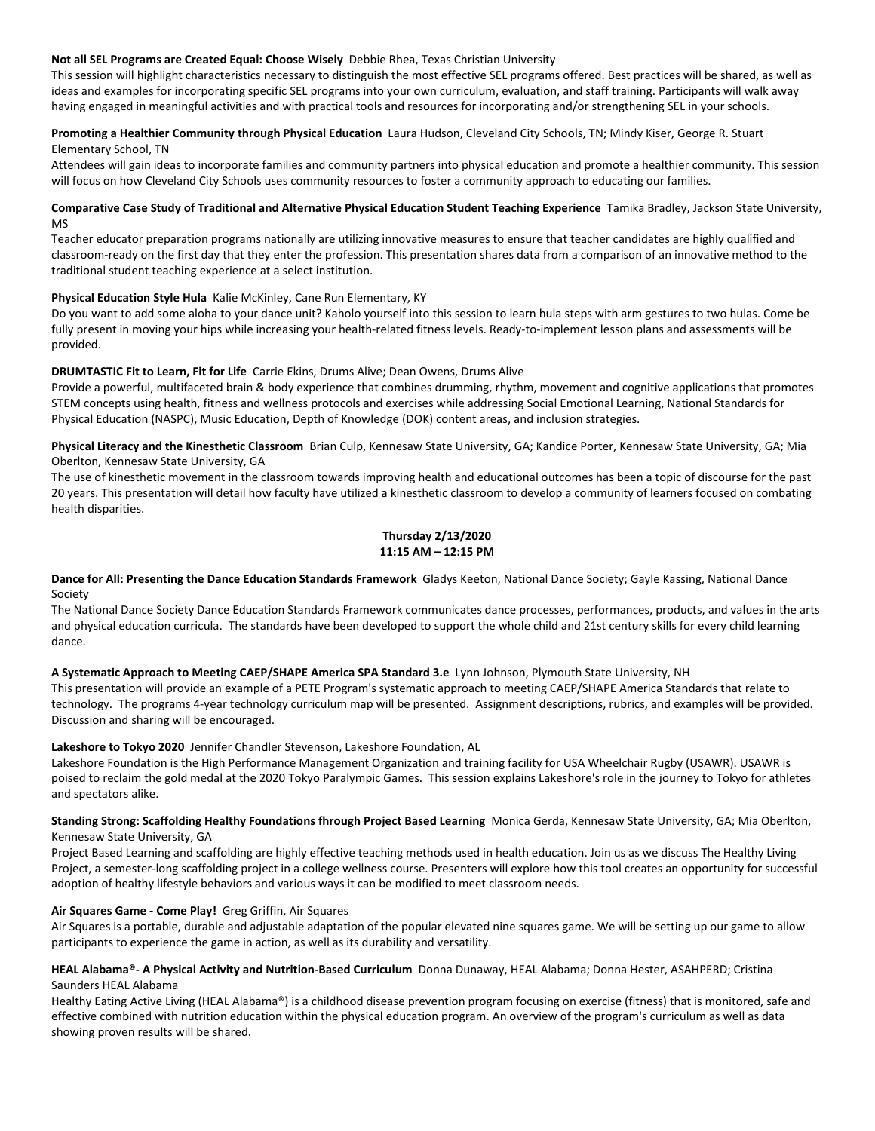#### **Not all SEL Programs are Created Equal: Choose Wisely** Debbie Rhea, Texas Christian University

This session will highlight characteristics necessary to distinguish the most effective SEL programs offered. Best practices will be shared, as well as ideas and examples for incorporating specific SEL programs into your own curriculum, evaluation, and staff training. Participants will walk away having engaged in meaningful activities and with practical tools and resources for incorporating and/or strengthening SEL in your schools.

## **Promoting a Healthier Community through Physical Education** Laura Hudson, Cleveland City Schools, TN; Mindy Kiser, George R. Stuart Elementary School, TN

Attendees will gain ideas to incorporate families and community partners into physical education and promote a healthier community. This session will focus on how Cleveland City Schools uses community resources to foster a community approach to educating our families.

## **Comparative Case Study of Traditional and Alternative Physical Education Student Teaching Experience** Tamika Bradley, Jackson State University, MS

Teacher educator preparation programs nationally are utilizing innovative measures to ensure that teacher candidates are highly qualified and classroom-ready on the first day that they enter the profession. This presentation shares data from a comparison of an innovative method to the traditional student teaching experience at a select institution.

# **Physical Education Style Hula** Kalie McKinley, Cane Run Elementary, KY

Do you want to add some aloha to your dance unit? Kaholo yourself into this session to learn hula steps with arm gestures to two hulas. Come be fully present in moving your hips while increasing your health-related fitness levels. Ready-to-implement lesson plans and assessments will be provided.

## **DRUMTASTIC Fit to Learn, Fit for Life** Carrie Ekins, Drums Alive; Dean Owens, Drums Alive

Provide a powerful, multifaceted brain & body experience that combines drumming, rhythm, movement and cognitive applications that promotes STEM concepts using health, fitness and wellness protocols and exercises while addressing Social Emotional Learning, National Standards for Physical Education (NASPC), Music Education, Depth of Knowledge (DOK) content areas, and inclusion strategies.

**Physical Literacy and the Kinesthetic Classroom** Brian Culp, Kennesaw State University, GA; Kandice Porter, Kennesaw State University, GA; Mia Oberlton, Kennesaw State University, GA

The use of kinesthetic movement in the classroom towards improving health and educational outcomes has been a topic of discourse for the past 20 years. This presentation will detail how faculty have utilized a kinesthetic classroom to develop a community of learners focused on combating health disparities.

## **Thursday 2/13/2020 11:15 AM – 12:15 PM**

**Dance for All: Presenting the Dance Education Standards Framework** Gladys Keeton, National Dance Society; Gayle Kassing, National Dance Society

The National Dance Society Dance Education Standards Framework communicates dance processes, performances, products, and values in the arts and physical education curricula. The standards have been developed to support the whole child and 21st century skills for every child learning dance.

# **A Systematic Approach to Meeting CAEP/SHAPE America SPA Standard 3.e** Lynn Johnson, Plymouth State University, NH

This presentation will provide an example of a PETE Program's systematic approach to meeting CAEP/SHAPE America Standards that relate to technology. The programs 4-year technology curriculum map will be presented. Assignment descriptions, rubrics, and examples will be provided. Discussion and sharing will be encouraged.

# **Lakeshore to Tokyo 2020** Jennifer Chandler Stevenson, Lakeshore Foundation, AL

Lakeshore Foundation is the High Performance Management Organization and training facility for USA Wheelchair Rugby (USAWR). USAWR is poised to reclaim the gold medal at the 2020 Tokyo Paralympic Games. This session explains Lakeshore's role in the journey to Tokyo for athletes and spectators alike.

## **Standing Strong: Scaffolding Healthy Foundations fhrough Project Based Learning** Monica Gerda, Kennesaw State University, GA; Mia Oberlton, Kennesaw State University, GA

Project Based Learning and scaffolding are highly effective teaching methods used in health education. Join us as we discuss The Healthy Living Project, a semester-long scaffolding project in a college wellness course. Presenters will explore how this tool creates an opportunity for successful adoption of healthy lifestyle behaviors and various ways it can be modified to meet classroom needs.

#### **Air Squares Game - Come Play!** Greg Griffin, Air Squares

Air Squares is a portable, durable and adjustable adaptation of the popular elevated nine squares game. We will be setting up our game to allow participants to experience the game in action, as well as its durability and versatility.

## **HEAL Alabama®- A Physical Activity and Nutrition-Based Curriculum** Donna Dunaway, HEAL Alabama; Donna Hester, ASAHPERD; Cristina Saunders HEAL Alabama

Healthy Eating Active Living (HEAL Alabama®) is a childhood disease prevention program focusing on exercise (fitness) that is monitored, safe and effective combined with nutrition education within the physical education program. An overview of the program's curriculum as well as data showing proven results will be shared.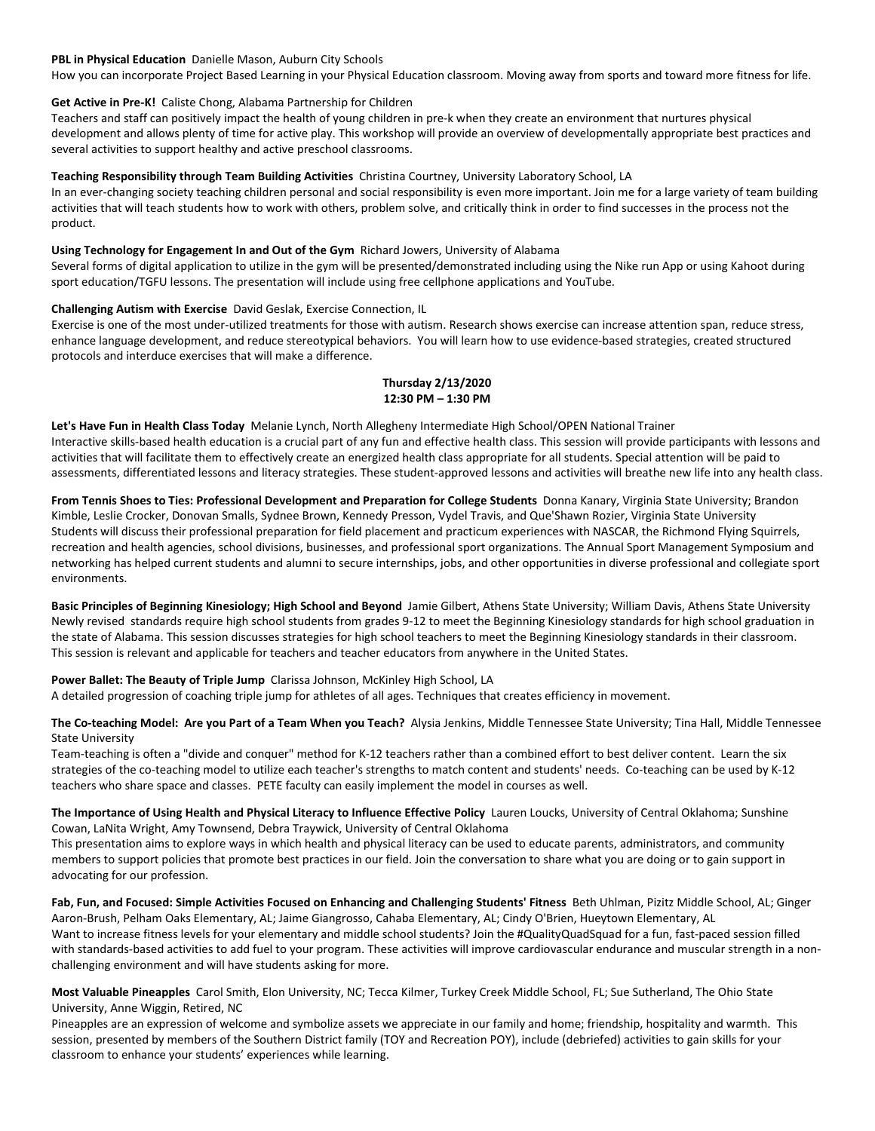#### **PBL in Physical Education** Danielle Mason, Auburn City Schools

How you can incorporate Project Based Learning in your Physical Education classroom. Moving away from sports and toward more fitness for life.

#### **Get Active in Pre-K!** Caliste Chong, Alabama Partnership for Children

Teachers and staff can positively impact the health of young children in pre-k when they create an environment that nurtures physical development and allows plenty of time for active play. This workshop will provide an overview of developmentally appropriate best practices and several activities to support healthy and active preschool classrooms.

#### **Teaching Responsibility through Team Building Activities** Christina Courtney, University Laboratory School, LA

In an ever-changing society teaching children personal and social responsibility is even more important. Join me for a large variety of team building activities that will teach students how to work with others, problem solve, and critically think in order to find successes in the process not the product.

#### **Using Technology for Engagement In and Out of the Gym** Richard Jowers, University of Alabama

Several forms of digital application to utilize in the gym will be presented/demonstrated including using the Nike run App or using Kahoot during sport education/TGFU lessons. The presentation will include using free cellphone applications and YouTube.

#### **Challenging Autism with Exercise** David Geslak, Exercise Connection, IL

Exercise is one of the most under-utilized treatments for those with autism. Research shows exercise can increase attention span, reduce stress, enhance language development, and reduce stereotypical behaviors. You will learn how to use evidence-based strategies, created structured protocols and interduce exercises that will make a difference.

#### **Thursday 2/13/2020 12:30 PM – 1:30 PM**

**Let's Have Fun in Health Class Today** Melanie Lynch, North Allegheny Intermediate High School/OPEN National Trainer Interactive skills-based health education is a crucial part of any fun and effective health class. This session will provide participants with lessons and activities that will facilitate them to effectively create an energized health class appropriate for all students. Special attention will be paid to assessments, differentiated lessons and literacy strategies. These student-approved lessons and activities will breathe new life into any health class.

**From Tennis Shoes to Ties: Professional Development and Preparation for College Students** Donna Kanary, Virginia State University; Brandon Kimble, Leslie Crocker, Donovan Smalls, Sydnee Brown, Kennedy Presson, Vydel Travis, and Que'Shawn Rozier, Virginia State University Students will discuss their professional preparation for field placement and practicum experiences with NASCAR, the Richmond Flying Squirrels, recreation and health agencies, school divisions, businesses, and professional sport organizations. The Annual Sport Management Symposium and networking has helped current students and alumni to secure internships, jobs, and other opportunities in diverse professional and collegiate sport environments.

**Basic Principles of Beginning Kinesiology; High School and Beyond** Jamie Gilbert, Athens State University; William Davis, Athens State University Newly revised standards require high school students from grades 9-12 to meet the Beginning Kinesiology standards for high school graduation in the state of Alabama. This session discusses strategies for high school teachers to meet the Beginning Kinesiology standards in their classroom. This session is relevant and applicable for teachers and teacher educators from anywhere in the United States.

**Power Ballet: The Beauty of Triple Jump** Clarissa Johnson, McKinley High School, LA A detailed progression of coaching triple jump for athletes of all ages. Techniques that creates efficiency in movement.

**The Co-teaching Model: Are you Part of a Team When you Teach?** Alysia Jenkins, Middle Tennessee State University; Tina Hall, Middle Tennessee State University

Team-teaching is often a "divide and conquer" method for K-12 teachers rather than a combined effort to best deliver content. Learn the six strategies of the co-teaching model to utilize each teacher's strengths to match content and students' needs. Co-teaching can be used by K-12 teachers who share space and classes. PETE faculty can easily implement the model in courses as well.

**The Importance of Using Health and Physical Literacy to Influence Effective Policy** Lauren Loucks, University of Central Oklahoma; Sunshine Cowan, LaNita Wright, Amy Townsend, Debra Traywick, University of Central Oklahoma

This presentation aims to explore ways in which health and physical literacy can be used to educate parents, administrators, and community members to support policies that promote best practices in our field. Join the conversation to share what you are doing or to gain support in advocating for our profession.

**Fab, Fun, and Focused: Simple Activities Focused on Enhancing and Challenging Students' Fitness** Beth Uhlman, Pizitz Middle School, AL; Ginger Aaron-Brush, Pelham Oaks Elementary, AL; Jaime Giangrosso, Cahaba Elementary, AL; Cindy O'Brien, Hueytown Elementary, AL Want to increase fitness levels for your elementary and middle school students? Join the #QualityQuadSquad for a fun, fast-paced session filled with standards-based activities to add fuel to your program. These activities will improve cardiovascular endurance and muscular strength in a nonchallenging environment and will have students asking for more.

**Most Valuable Pineapples** Carol Smith, Elon University, NC; Tecca Kilmer, Turkey Creek Middle School, FL; Sue Sutherland, The Ohio State University, Anne Wiggin, Retired, NC

Pineapples are an expression of welcome and symbolize assets we appreciate in our family and home; friendship, hospitality and warmth. This session, presented by members of the Southern District family (TOY and Recreation POY), include (debriefed) activities to gain skills for your classroom to enhance your students' experiences while learning.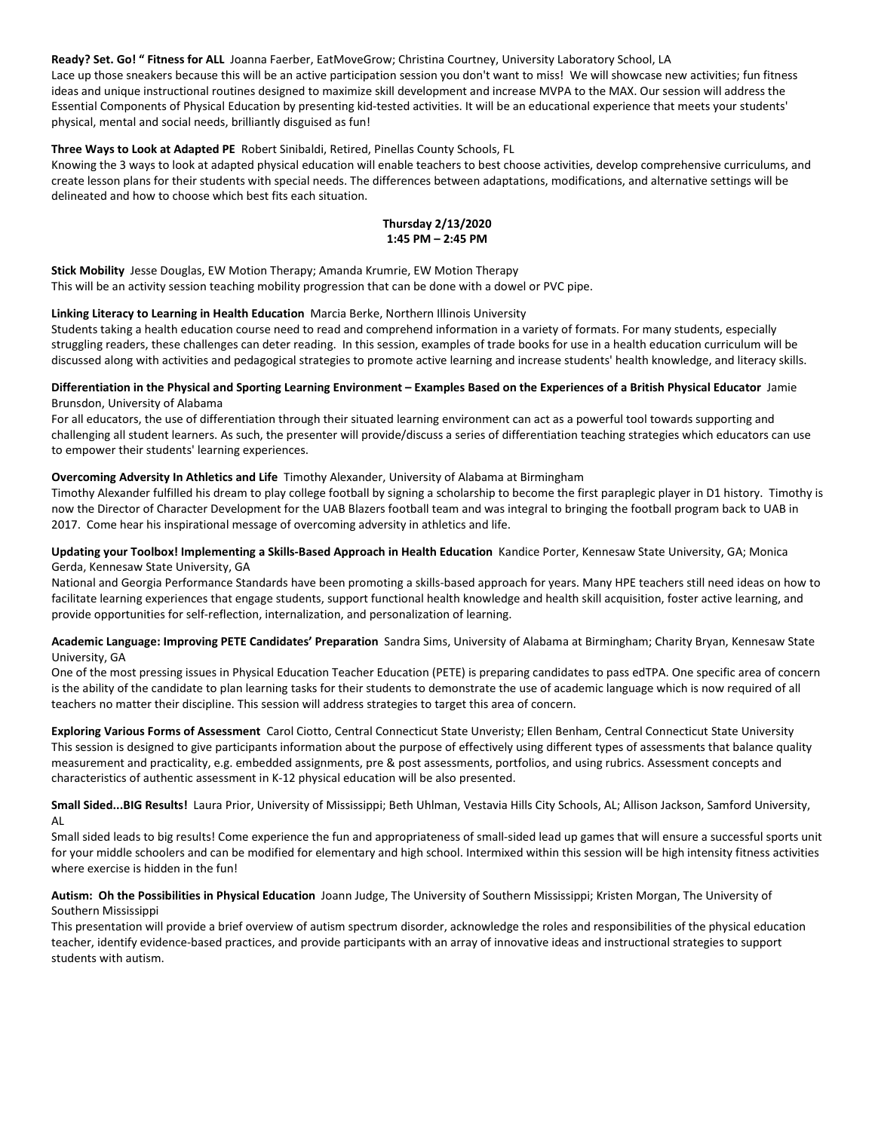#### **Ready? Set. Go! " Fitness for ALL** Joanna Faerber, EatMoveGrow; Christina Courtney, University Laboratory School, LA

Lace up those sneakers because this will be an active participation session you don't want to miss! We will showcase new activities; fun fitness ideas and unique instructional routines designed to maximize skill development and increase MVPA to the MAX. Our session will address the Essential Components of Physical Education by presenting kid-tested activities. It will be an educational experience that meets your students' physical, mental and social needs, brilliantly disguised as fun!

#### **Three Ways to Look at Adapted PE** Robert Sinibaldi, Retired, Pinellas County Schools, FL

Knowing the 3 ways to look at adapted physical education will enable teachers to best choose activities, develop comprehensive curriculums, and create lesson plans for their students with special needs. The differences between adaptations, modifications, and alternative settings will be delineated and how to choose which best fits each situation.

## **Thursday 2/13/2020 1:45 PM – 2:45 PM**

**Stick Mobility** Jesse Douglas, EW Motion Therapy; Amanda Krumrie, EW Motion Therapy This will be an activity session teaching mobility progression that can be done with a dowel or PVC pipe.

#### **Linking Literacy to Learning in Health Education** Marcia Berke, Northern Illinois University

Students taking a health education course need to read and comprehend information in a variety of formats. For many students, especially struggling readers, these challenges can deter reading. In this session, examples of trade books for use in a health education curriculum will be discussed along with activities and pedagogical strategies to promote active learning and increase students' health knowledge, and literacy skills.

#### **Differentiation in the Physical and Sporting Learning Environment – Examples Based on the Experiences of a British Physical Educator** Jamie Brunsdon, University of Alabama

For all educators, the use of differentiation through their situated learning environment can act as a powerful tool towards supporting and challenging all student learners. As such, the presenter will provide/discuss a series of differentiation teaching strategies which educators can use to empower their students' learning experiences.

## **Overcoming Adversity In Athletics and Life** Timothy Alexander, University of Alabama at Birmingham

Timothy Alexander fulfilled his dream to play college football by signing a scholarship to become the first paraplegic player in D1 history. Timothy is now the Director of Character Development for the UAB Blazers football team and was integral to bringing the football program back to UAB in 2017. Come hear his inspirational message of overcoming adversity in athletics and life.

## **Updating your Toolbox! Implementing a Skills-Based Approach in Health Education** Kandice Porter, Kennesaw State University, GA; Monica Gerda, Kennesaw State University, GA

National and Georgia Performance Standards have been promoting a skills-based approach for years. Many HPE teachers still need ideas on how to facilitate learning experiences that engage students, support functional health knowledge and health skill acquisition, foster active learning, and provide opportunities for self-reflection, internalization, and personalization of learning.

## **Academic Language: Improving PETE Candidates' Preparation** Sandra Sims, University of Alabama at Birmingham; Charity Bryan, Kennesaw State University, GA

One of the most pressing issues in Physical Education Teacher Education (PETE) is preparing candidates to pass edTPA. One specific area of concern is the ability of the candidate to plan learning tasks for their students to demonstrate the use of academic language which is now required of all teachers no matter their discipline. This session will address strategies to target this area of concern.

**Exploring Various Forms of Assessment** Carol Ciotto, Central Connecticut State Unveristy; Ellen Benham, Central Connecticut State University This session is designed to give participants information about the purpose of effectively using different types of assessments that balance quality measurement and practicality, e.g. embedded assignments, pre & post assessments, portfolios, and using rubrics. Assessment concepts and characteristics of authentic assessment in K-12 physical education will be also presented.

**Small Sided...BIG Results!** Laura Prior, University of Mississippi; Beth Uhlman, Vestavia Hills City Schools, AL; Allison Jackson, Samford University, AL

Small sided leads to big results! Come experience the fun and appropriateness of small-sided lead up games that will ensure a successful sports unit for your middle schoolers and can be modified for elementary and high school. Intermixed within this session will be high intensity fitness activities where exercise is hidden in the fun!

## **Autism: Oh the Possibilities in Physical Education** Joann Judge, The University of Southern Mississippi; Kristen Morgan, The University of Southern Mississippi

This presentation will provide a brief overview of autism spectrum disorder, acknowledge the roles and responsibilities of the physical education teacher, identify evidence-based practices, and provide participants with an array of innovative ideas and instructional strategies to support students with autism.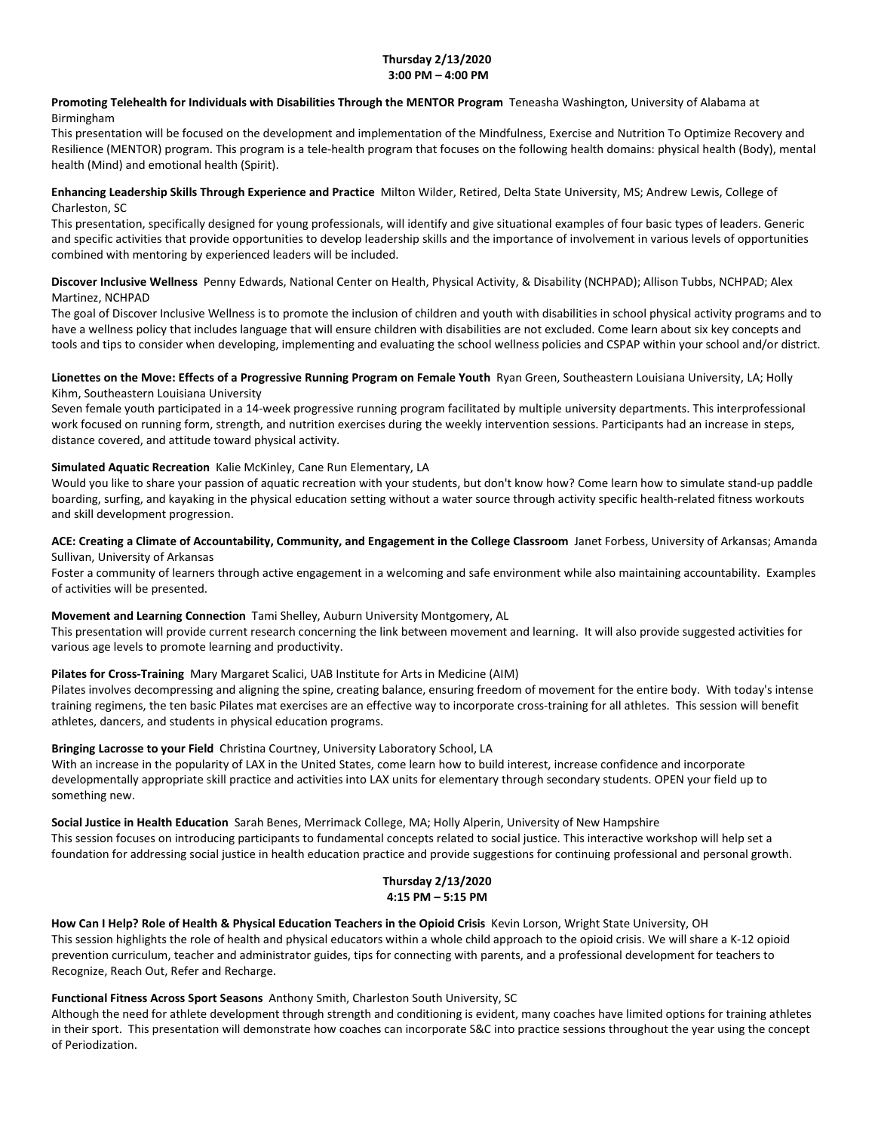#### **Thursday 2/13/2020 3:00 PM – 4:00 PM**

# **Promoting Telehealth for Individuals with Disabilities Through the MENTOR Program** Teneasha Washington, University of Alabama at Birmingham

This presentation will be focused on the development and implementation of the Mindfulness, Exercise and Nutrition To Optimize Recovery and Resilience (MENTOR) program. This program is a tele-health program that focuses on the following health domains: physical health (Body), mental health (Mind) and emotional health (Spirit).

# **Enhancing Leadership Skills Through Experience and Practice** Milton Wilder, Retired, Delta State University, MS; Andrew Lewis, College of Charleston, SC

This presentation, specifically designed for young professionals, will identify and give situational examples of four basic types of leaders. Generic and specific activities that provide opportunities to develop leadership skills and the importance of involvement in various levels of opportunities combined with mentoring by experienced leaders will be included.

# **Discover Inclusive Wellness** Penny Edwards, National Center on Health, Physical Activity, & Disability (NCHPAD); Allison Tubbs, NCHPAD; Alex Martinez, NCHPAD

The goal of Discover Inclusive Wellness is to promote the inclusion of children and youth with disabilities in school physical activity programs and to have a wellness policy that includes language that will ensure children with disabilities are not excluded. Come learn about six key concepts and tools and tips to consider when developing, implementing and evaluating the school wellness policies and CSPAP within your school and/or district.

# **Lionettes on the Move: Effects of a Progressive Running Program on Female Youth** Ryan Green, Southeastern Louisiana University, LA; Holly Kihm, Southeastern Louisiana University

Seven female youth participated in a 14-week progressive running program facilitated by multiple university departments. This interprofessional work focused on running form, strength, and nutrition exercises during the weekly intervention sessions. Participants had an increase in steps, distance covered, and attitude toward physical activity.

# **Simulated Aquatic Recreation** Kalie McKinley, Cane Run Elementary, LA

Would you like to share your passion of aquatic recreation with your students, but don't know how? Come learn how to simulate stand-up paddle boarding, surfing, and kayaking in the physical education setting without a water source through activity specific health-related fitness workouts and skill development progression.

## **ACE: Creating a Climate of Accountability, Community, and Engagement in the College Classroom** Janet Forbess, University of Arkansas; Amanda Sullivan, University of Arkansas

Foster a community of learners through active engagement in a welcoming and safe environment while also maintaining accountability. Examples of activities will be presented.

# **Movement and Learning Connection** Tami Shelley, Auburn University Montgomery, AL

This presentation will provide current research concerning the link between movement and learning. It will also provide suggested activities for various age levels to promote learning and productivity.

# **Pilates for Cross-Training** Mary Margaret Scalici, UAB Institute for Arts in Medicine (AIM)

Pilates involves decompressing and aligning the spine, creating balance, ensuring freedom of movement for the entire body. With today's intense training regimens, the ten basic Pilates mat exercises are an effective way to incorporate cross-training for all athletes. This session will benefit athletes, dancers, and students in physical education programs.

# **Bringing Lacrosse to your Field** Christina Courtney, University Laboratory School, LA

With an increase in the popularity of LAX in the United States, come learn how to build interest, increase confidence and incorporate developmentally appropriate skill practice and activities into LAX units for elementary through secondary students. OPEN your field up to something new.

# **Social Justice in Health Education** Sarah Benes, Merrimack College, MA; Holly Alperin, University of New Hampshire

This session focuses on introducing participants to fundamental concepts related to social justice. This interactive workshop will help set a foundation for addressing social justice in health education practice and provide suggestions for continuing professional and personal growth.

# **Thursday 2/13/2020 4:15 PM – 5:15 PM**

**How Can I Help? Role of Health & Physical Education Teachers in the Opioid Crisis** Kevin Lorson, Wright State University, OH This session highlights the role of health and physical educators within a whole child approach to the opioid crisis. We will share a K-12 opioid prevention curriculum, teacher and administrator guides, tips for connecting with parents, and a professional development for teachers to Recognize, Reach Out, Refer and Recharge.

# **Functional Fitness Across Sport Seasons** Anthony Smith, Charleston South University, SC

Although the need for athlete development through strength and conditioning is evident, many coaches have limited options for training athletes in their sport. This presentation will demonstrate how coaches can incorporate S&C into practice sessions throughout the year using the concept of Periodization.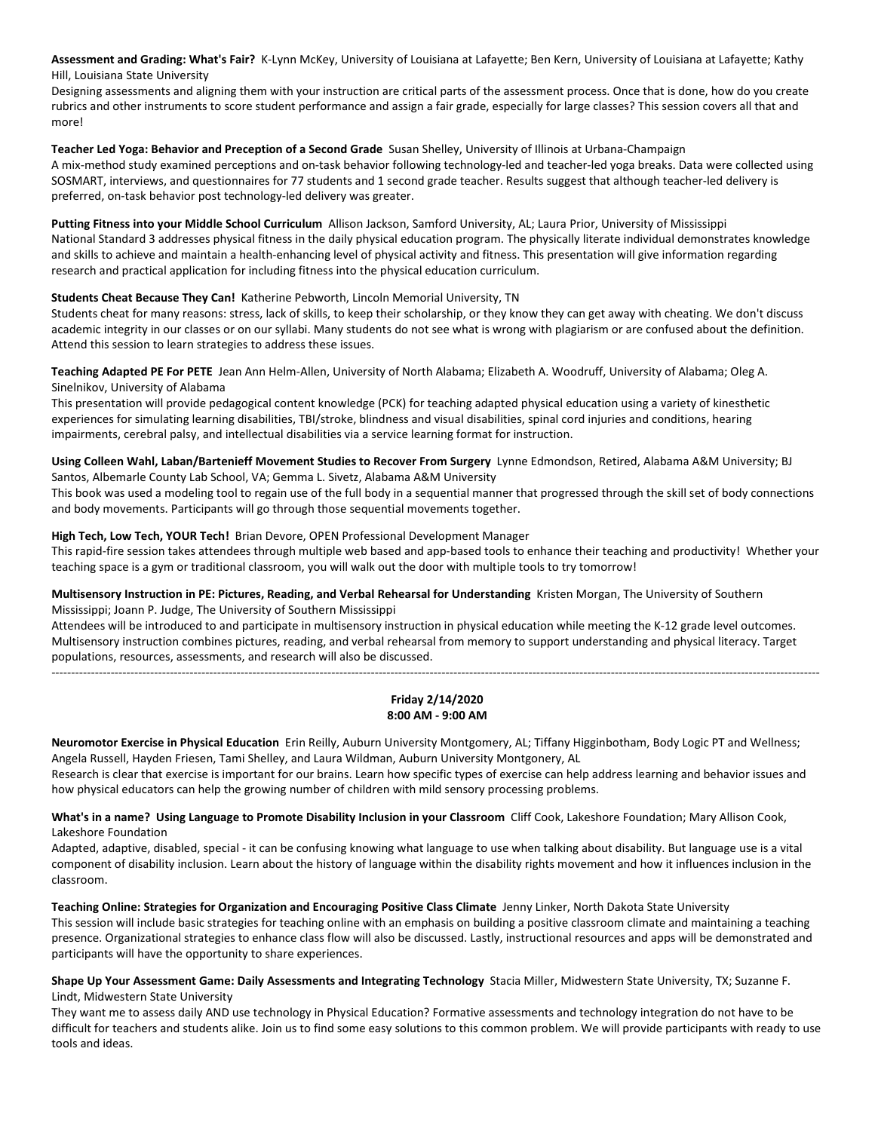**Assessment and Grading: What's Fair?** K-Lynn McKey, University of Louisiana at Lafayette; Ben Kern, University of Louisiana at Lafayette; Kathy Hill, Louisiana State University

Designing assessments and aligning them with your instruction are critical parts of the assessment process. Once that is done, how do you create rubrics and other instruments to score student performance and assign a fair grade, especially for large classes? This session covers all that and more!

#### **Teacher Led Yoga: Behavior and Preception of a Second Grade** Susan Shelley, University of Illinois at Urbana-Champaign

A mix-method study examined perceptions and on-task behavior following technology-led and teacher-led yoga breaks. Data were collected using SOSMART, interviews, and questionnaires for 77 students and 1 second grade teacher. Results suggest that although teacher-led delivery is preferred, on-task behavior post technology-led delivery was greater.

**Putting Fitness into your Middle School Curriculum** Allison Jackson, Samford University, AL; Laura Prior, University of Mississippi National Standard 3 addresses physical fitness in the daily physical education program. The physically literate individual demonstrates knowledge and skills to achieve and maintain a health-enhancing level of physical activity and fitness. This presentation will give information regarding research and practical application for including fitness into the physical education curriculum.

## **Students Cheat Because They Can!** Katherine Pebworth, Lincoln Memorial University, TN

Students cheat for many reasons: stress, lack of skills, to keep their scholarship, or they know they can get away with cheating. We don't discuss academic integrity in our classes or on our syllabi. Many students do not see what is wrong with plagiarism or are confused about the definition. Attend this session to learn strategies to address these issues.

**Teaching Adapted PE For PETE** Jean Ann Helm-Allen, University of North Alabama; Elizabeth A. Woodruff, University of Alabama; Oleg A. Sinelnikov, University of Alabama

This presentation will provide pedagogical content knowledge (PCK) for teaching adapted physical education using a variety of kinesthetic experiences for simulating learning disabilities, TBI/stroke, blindness and visual disabilities, spinal cord injuries and conditions, hearing impairments, cerebral palsy, and intellectual disabilities via a service learning format for instruction.

**Using Colleen Wahl, Laban/Bartenieff Movement Studies to Recover From Surgery** Lynne Edmondson, Retired, Alabama A&M University; BJ Santos, Albemarle County Lab School, VA; Gemma L. Sivetz, Alabama A&M University

This book was used a modeling tool to regain use of the full body in a sequential manner that progressed through the skill set of body connections and body movements. Participants will go through those sequential movements together.

## **High Tech, Low Tech, YOUR Tech!** Brian Devore, OPEN Professional Development Manager

This rapid-fire session takes attendees through multiple web based and app-based tools to enhance their teaching and productivity! Whether your teaching space is a gym or traditional classroom, you will walk out the door with multiple tools to try tomorrow!

**Multisensory Instruction in PE: Pictures, Reading, and Verbal Rehearsal for Understanding** Kristen Morgan, The University of Southern Mississippi; Joann P. Judge, The University of Southern Mississippi

Attendees will be introduced to and participate in multisensory instruction in physical education while meeting the K-12 grade level outcomes. Multisensory instruction combines pictures, reading, and verbal rehearsal from memory to support understanding and physical literacy. Target populations, resources, assessments, and research will also be discussed.

---------------------------------------------------------------------------------------------------------------------------------------------------------------------------------------------------

## **Friday 2/14/2020 8:00 AM - 9:00 AM**

**Neuromotor Exercise in Physical Education** Erin Reilly, Auburn University Montgomery, AL; Tiffany Higginbotham, Body Logic PT and Wellness; Angela Russell, Hayden Friesen, Tami Shelley, and Laura Wildman, Auburn University Montgonery, AL

Research is clear that exercise is important for our brains. Learn how specific types of exercise can help address learning and behavior issues and how physical educators can help the growing number of children with mild sensory processing problems.

**What's in a name? Using Language to Promote Disability Inclusion in your Classroom** Cliff Cook, Lakeshore Foundation; Mary Allison Cook, Lakeshore Foundation

Adapted, adaptive, disabled, special - it can be confusing knowing what language to use when talking about disability. But language use is a vital component of disability inclusion. Learn about the history of language within the disability rights movement and how it influences inclusion in the classroom.

# **Teaching Online: Strategies for Organization and Encouraging Positive Class Climate** Jenny Linker, North Dakota State University

This session will include basic strategies for teaching online with an emphasis on building a positive classroom climate and maintaining a teaching presence. Organizational strategies to enhance class flow will also be discussed. Lastly, instructional resources and apps will be demonstrated and participants will have the opportunity to share experiences.

**Shape Up Your Assessment Game: Daily Assessments and Integrating Technology** Stacia Miller, Midwestern State University, TX; Suzanne F. Lindt, Midwestern State University

They want me to assess daily AND use technology in Physical Education? Formative assessments and technology integration do not have to be difficult for teachers and students alike. Join us to find some easy solutions to this common problem. We will provide participants with ready to use tools and ideas.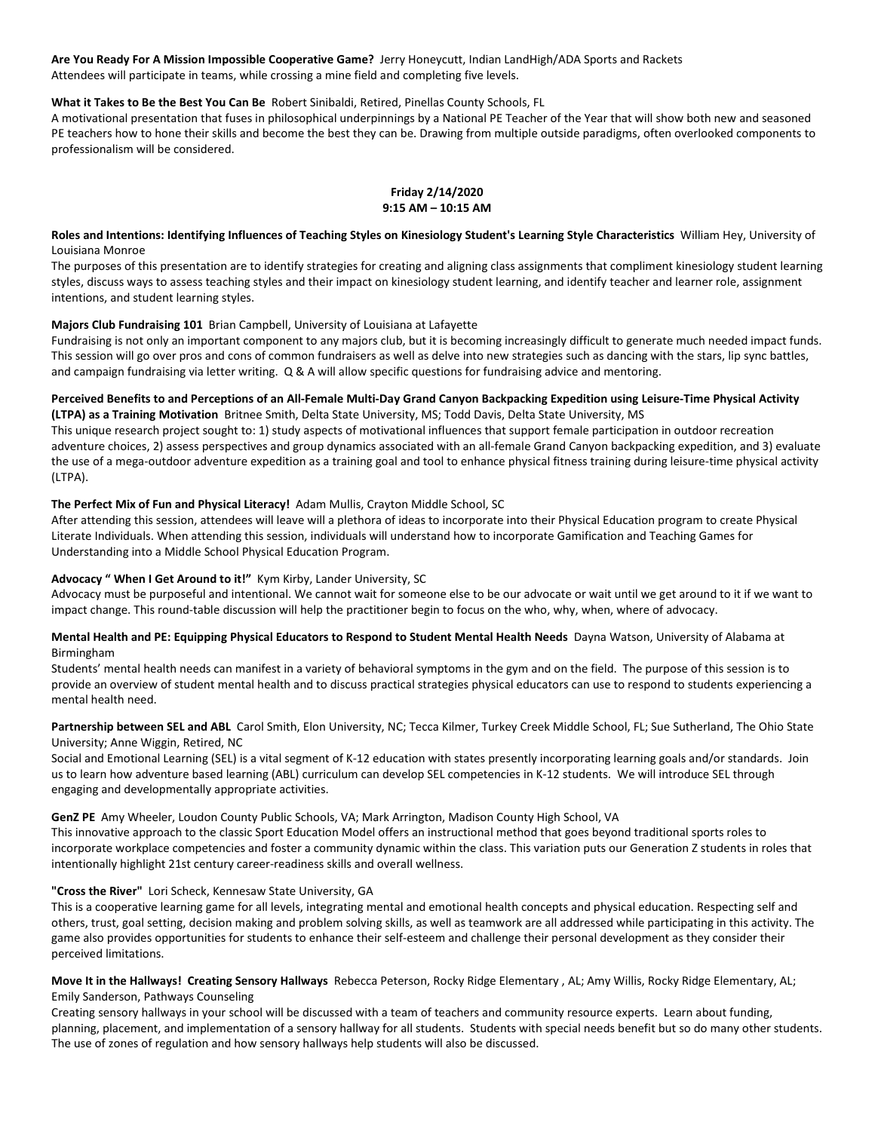**Are You Ready For A Mission Impossible Cooperative Game?** Jerry Honeycutt, Indian LandHigh/ADA Sports and Rackets Attendees will participate in teams, while crossing a mine field and completing five levels.

## **What it Takes to Be the Best You Can Be** Robert Sinibaldi, Retired, Pinellas County Schools, FL

A motivational presentation that fuses in philosophical underpinnings by a National PE Teacher of the Year that will show both new and seasoned PE teachers how to hone their skills and become the best they can be. Drawing from multiple outside paradigms, often overlooked components to professionalism will be considered.

#### **Friday 2/14/2020 9:15 AM – 10:15 AM**

**Roles and Intentions: Identifying Influences of Teaching Styles on Kinesiology Student's Learning Style Characteristics** William Hey, University of Louisiana Monroe

The purposes of this presentation are to identify strategies for creating and aligning class assignments that compliment kinesiology student learning styles, discuss ways to assess teaching styles and their impact on kinesiology student learning, and identify teacher and learner role, assignment intentions, and student learning styles.

## **Majors Club Fundraising 101** Brian Campbell, University of Louisiana at Lafayette

Fundraising is not only an important component to any majors club, but it is becoming increasingly difficult to generate much needed impact funds. This session will go over pros and cons of common fundraisers as well as delve into new strategies such as dancing with the stars, lip sync battles, and campaign fundraising via letter writing. Q & A will allow specific questions for fundraising advice and mentoring.

#### **Perceived Benefits to and Perceptions of an All-Female Multi-Day Grand Canyon Backpacking Expedition using Leisure-Time Physical Activity (LTPA) as a Training Motivation** Britnee Smith, Delta State University, MS; Todd Davis, Delta State University, MS

This unique research project sought to: 1) study aspects of motivational influences that support female participation in outdoor recreation adventure choices, 2) assess perspectives and group dynamics associated with an all-female Grand Canyon backpacking expedition, and 3) evaluate the use of a mega-outdoor adventure expedition as a training goal and tool to enhance physical fitness training during leisure-time physical activity (LTPA).

## **The Perfect Mix of Fun and Physical Literacy!** Adam Mullis, Crayton Middle School, SC

After attending this session, attendees will leave will a plethora of ideas to incorporate into their Physical Education program to create Physical Literate Individuals. When attending this session, individuals will understand how to incorporate Gamification and Teaching Games for Understanding into a Middle School Physical Education Program.

# **Advocacy " When I Get Around to it!"** Kym Kirby, Lander University, SC

Advocacy must be purposeful and intentional. We cannot wait for someone else to be our advocate or wait until we get around to it if we want to impact change. This round-table discussion will help the practitioner begin to focus on the who, why, when, where of advocacy.

## **Mental Health and PE: Equipping Physical Educators to Respond to Student Mental Health Needs** Dayna Watson, University of Alabama at Birmingham

Students' mental health needs can manifest in a variety of behavioral symptoms in the gym and on the field. The purpose of this session is to provide an overview of student mental health and to discuss practical strategies physical educators can use to respond to students experiencing a mental health need.

## Partnership between SEL and ABL Carol Smith, Elon University, NC; Tecca Kilmer, Turkey Creek Middle School, FL; Sue Sutherland, The Ohio State University; Anne Wiggin, Retired, NC

Social and Emotional Learning (SEL) is a vital segment of K-12 education with states presently incorporating learning goals and/or standards. Join us to learn how adventure based learning (ABL) curriculum can develop SEL competencies in K-12 students. We will introduce SEL through engaging and developmentally appropriate activities.

#### **GenZ PE** Amy Wheeler, Loudon County Public Schools, VA; Mark Arrington, Madison County High School, VA

This innovative approach to the classic Sport Education Model offers an instructional method that goes beyond traditional sports roles to incorporate workplace competencies and foster a community dynamic within the class. This variation puts our Generation Z students in roles that intentionally highlight 21st century career-readiness skills and overall wellness.

# **"Cross the River"** Lori Scheck, Kennesaw State University, GA

This is a cooperative learning game for all levels, integrating mental and emotional health concepts and physical education. Respecting self and others, trust, goal setting, decision making and problem solving skills, as well as teamwork are all addressed while participating in this activity. The game also provides opportunities for students to enhance their self-esteem and challenge their personal development as they consider their perceived limitations.

# **Move It in the Hallways! Creating Sensory Hallways** Rebecca Peterson, Rocky Ridge Elementary , AL; Amy Willis, Rocky Ridge Elementary, AL; Emily Sanderson, Pathways Counseling

Creating sensory hallways in your school will be discussed with a team of teachers and community resource experts. Learn about funding, planning, placement, and implementation of a sensory hallway for all students. Students with special needs benefit but so do many other students. The use of zones of regulation and how sensory hallways help students will also be discussed.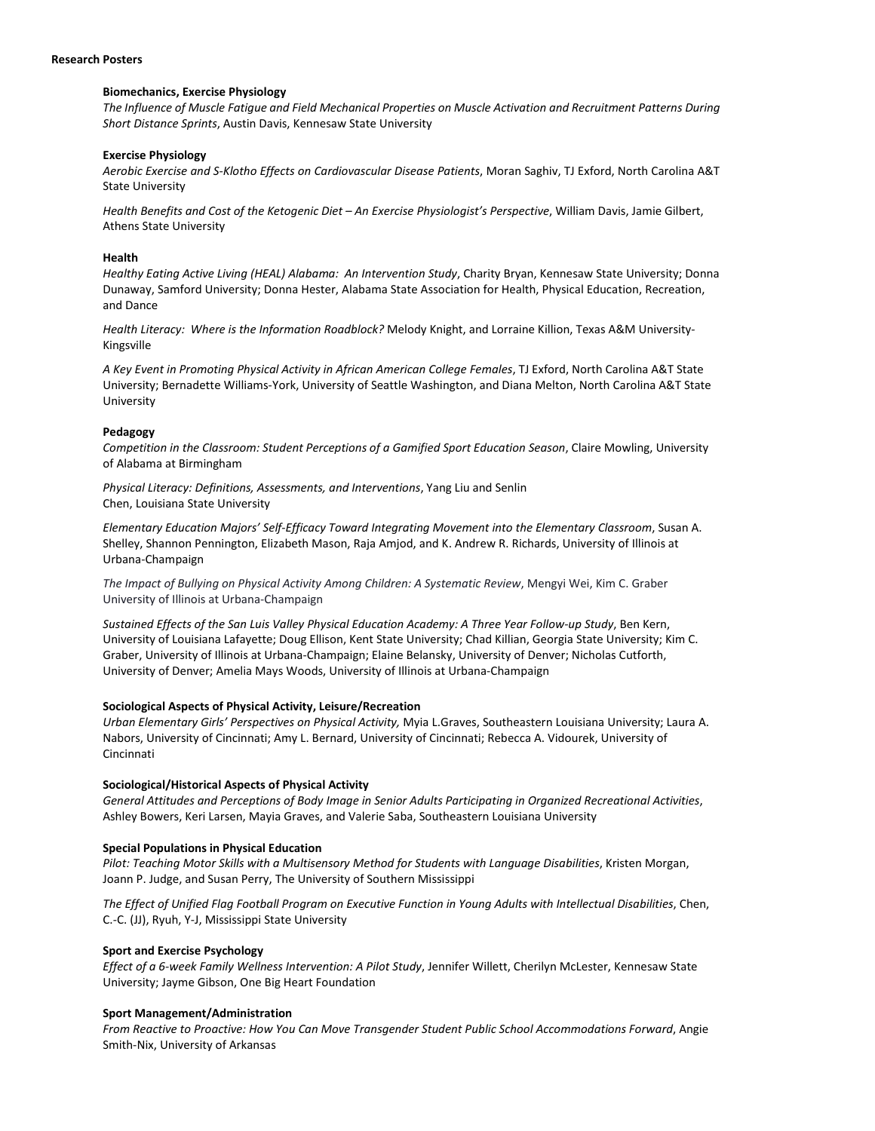#### **Research Posters**

#### **Biomechanics, Exercise Physiology**

*The Influence of Muscle Fatigue and Field Mechanical Properties on Muscle Activation and Recruitment Patterns During Short Distance Sprints*, Austin Davis, Kennesaw State University

#### **Exercise Physiology**

*Aerobic Exercise and S-Klotho Effects on Cardiovascular Disease Patients*, Moran Saghiv, TJ Exford, North Carolina A&T State University

*Health Benefits and Cost of the Ketogenic Diet – An Exercise Physiologist's Perspective*, William Davis, Jamie Gilbert, Athens State University

#### **Health**

*Healthy Eating Active Living (HEAL) Alabama: An Intervention Study*, Charity Bryan, Kennesaw State University; Donna Dunaway, Samford University; Donna Hester, Alabama State Association for Health, Physical Education, Recreation, and Dance

*Health Literacy: Where is the Information Roadblock?* Melody Knight, and Lorraine Killion, Texas A&M University-Kingsville

*A Key Event in Promoting Physical Activity in African American College Females*, TJ Exford, North Carolina A&T State University; Bernadette Williams-York, University of Seattle Washington, and Diana Melton, North Carolina A&T State University

#### **Pedagogy**

*Competition in the Classroom: Student Perceptions of a Gamified Sport Education Season*, Claire Mowling, University of Alabama at Birmingham

*Physical Literacy: Definitions, Assessments, and Interventions*, Yang Liu and Senlin Chen, Louisiana State University

*Elementary Education Majors' Self-Efficacy Toward Integrating Movement into the Elementary Classroom*, Susan A. Shelley, Shannon Pennington, Elizabeth Mason, Raja Amjod, and K. Andrew R. Richards, University of Illinois at Urbana-Champaign

*The Impact of Bullying on Physical Activity Among Children: A Systematic Review*, Mengyi Wei, Kim C. Graber University of Illinois at Urbana-Champaign

*Sustained Effects of the San Luis Valley Physical Education Academy: A Three Year Follow-up Study*, Ben Kern, University of Louisiana Lafayette; Doug Ellison, Kent State University; Chad Killian, Georgia State University; Kim C. Graber, University of Illinois at Urbana-Champaign; Elaine Belansky, University of Denver; Nicholas Cutforth, University of Denver; Amelia Mays Woods, University of Illinois at Urbana-Champaign

#### **Sociological Aspects of Physical Activity, Leisure/Recreation**

*Urban Elementary Girls' Perspectives on Physical Activity,* Myia L.Graves, Southeastern Louisiana University; Laura A. Nabors, University of Cincinnati; Amy L. Bernard, University of Cincinnati; Rebecca A. Vidourek, University of Cincinnati

#### **Sociological/Historical Aspects of Physical Activity**

*General Attitudes and Perceptions of Body Image in Senior Adults Participating in Organized Recreational Activities*, Ashley Bowers, Keri Larsen, Mayia Graves, and Valerie Saba, Southeastern Louisiana University

#### **Special Populations in Physical Education**

*Pilot: Teaching Motor Skills with a Multisensory Method for Students with Language Disabilities*, Kristen Morgan, Joann P. Judge, and Susan Perry, The University of Southern Mississippi

*The Effect of Unified Flag Football Program on Executive Function in Young Adults with Intellectual Disabilities*, Chen, C.-C. (JJ), Ryuh, Y-J, Mississippi State University

#### **Sport and Exercise Psychology**

*Effect of a 6-week Family Wellness Intervention: A Pilot Study*, Jennifer Willett, Cherilyn McLester, Kennesaw State University; Jayme Gibson, One Big Heart Foundation

#### **Sport Management/Administration**

*From Reactive to Proactive: How You Can Move Transgender Student Public School Accommodations Forward*, Angie Smith-Nix, University of Arkansas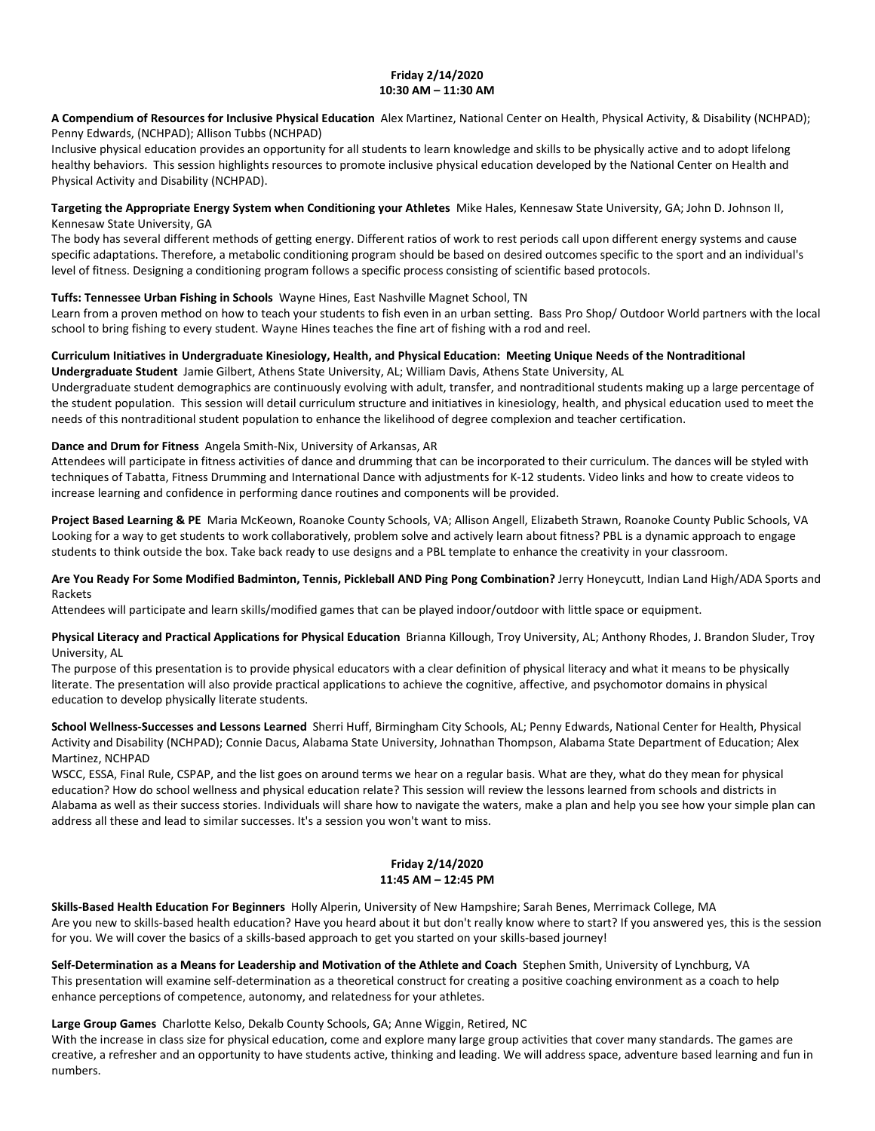# **Friday 2/14/2020 10:30 AM – 11:30 AM**

**A Compendium of Resources for Inclusive Physical Education** Alex Martinez, National Center on Health, Physical Activity, & Disability (NCHPAD); Penny Edwards, (NCHPAD); Allison Tubbs (NCHPAD)

Inclusive physical education provides an opportunity for all students to learn knowledge and skills to be physically active and to adopt lifelong healthy behaviors. This session highlights resources to promote inclusive physical education developed by the National Center on Health and Physical Activity and Disability (NCHPAD).

#### **Targeting the Appropriate Energy System when Conditioning your Athletes** Mike Hales, Kennesaw State University, GA; John D. Johnson II, Kennesaw State University, GA

The body has several different methods of getting energy. Different ratios of work to rest periods call upon different energy systems and cause specific adaptations. Therefore, a metabolic conditioning program should be based on desired outcomes specific to the sport and an individual's level of fitness. Designing a conditioning program follows a specific process consisting of scientific based protocols.

# **Tuffs: Tennessee Urban Fishing in Schools** Wayne Hines, East Nashville Magnet School, TN

Learn from a proven method on how to teach your students to fish even in an urban setting. Bass Pro Shop/ Outdoor World partners with the local school to bring fishing to every student. Wayne Hines teaches the fine art of fishing with a rod and reel.

# **Curriculum Initiatives in Undergraduate Kinesiology, Health, and Physical Education: Meeting Unique Needs of the Nontraditional**

**Undergraduate Student** Jamie Gilbert, Athens State University, AL; William Davis, Athens State University, AL

Undergraduate student demographics are continuously evolving with adult, transfer, and nontraditional students making up a large percentage of the student population. This session will detail curriculum structure and initiatives in kinesiology, health, and physical education used to meet the needs of this nontraditional student population to enhance the likelihood of degree complexion and teacher certification.

# **Dance and Drum for Fitness** Angela Smith-Nix, University of Arkansas, AR

Attendees will participate in fitness activities of dance and drumming that can be incorporated to their curriculum. The dances will be styled with techniques of Tabatta, Fitness Drumming and International Dance with adjustments for K-12 students. Video links and how to create videos to increase learning and confidence in performing dance routines and components will be provided.

**Project Based Learning & PE** Maria McKeown, Roanoke County Schools, VA; Allison Angell, Elizabeth Strawn, Roanoke County Public Schools, VA Looking for a way to get students to work collaboratively, problem solve and actively learn about fitness? PBL is a dynamic approach to engage students to think outside the box. Take back ready to use designs and a PBL template to enhance the creativity in your classroom.

## **Are You Ready For Some Modified Badminton, Tennis, Pickleball AND Ping Pong Combination?** Jerry Honeycutt, Indian Land High/ADA Sports and Rackets

Attendees will participate and learn skills/modified games that can be played indoor/outdoor with little space or equipment.

# **Physical Literacy and Practical Applications for Physical Education** Brianna Killough, Troy University, AL; Anthony Rhodes, J. Brandon Sluder, Troy University, AL

The purpose of this presentation is to provide physical educators with a clear definition of physical literacy and what it means to be physically literate. The presentation will also provide practical applications to achieve the cognitive, affective, and psychomotor domains in physical education to develop physically literate students.

# **School Wellness-Successes and Lessons Learned** Sherri Huff, Birmingham City Schools, AL; Penny Edwards, National Center for Health, Physical Activity and Disability (NCHPAD); Connie Dacus, Alabama State University, Johnathan Thompson, Alabama State Department of Education; Alex Martinez, NCHPAD

WSCC, ESSA, Final Rule, CSPAP, and the list goes on around terms we hear on a regular basis. What are they, what do they mean for physical education? How do school wellness and physical education relate? This session will review the lessons learned from schools and districts in Alabama as well as their success stories. Individuals will share how to navigate the waters, make a plan and help you see how your simple plan can address all these and lead to similar successes. It's a session you won't want to miss.

## **Friday 2/14/2020 11:45 AM – 12:45 PM**

**Skills-Based Health Education For Beginners** Holly Alperin, University of New Hampshire; Sarah Benes, Merrimack College, MA Are you new to skills-based health education? Have you heard about it but don't really know where to start? If you answered yes, this is the session for you. We will cover the basics of a skills-based approach to get you started on your skills-based journey!

**Self-Determination as a Means for Leadership and Motivation of the Athlete and Coach** Stephen Smith, University of Lynchburg, VA This presentation will examine self-determination as a theoretical construct for creating a positive coaching environment as a coach to help enhance perceptions of competence, autonomy, and relatedness for your athletes.

#### **Large Group Games** Charlotte Kelso, Dekalb County Schools, GA; Anne Wiggin, Retired, NC

With the increase in class size for physical education, come and explore many large group activities that cover many standards. The games are creative, a refresher and an opportunity to have students active, thinking and leading. We will address space, adventure based learning and fun in numbers.